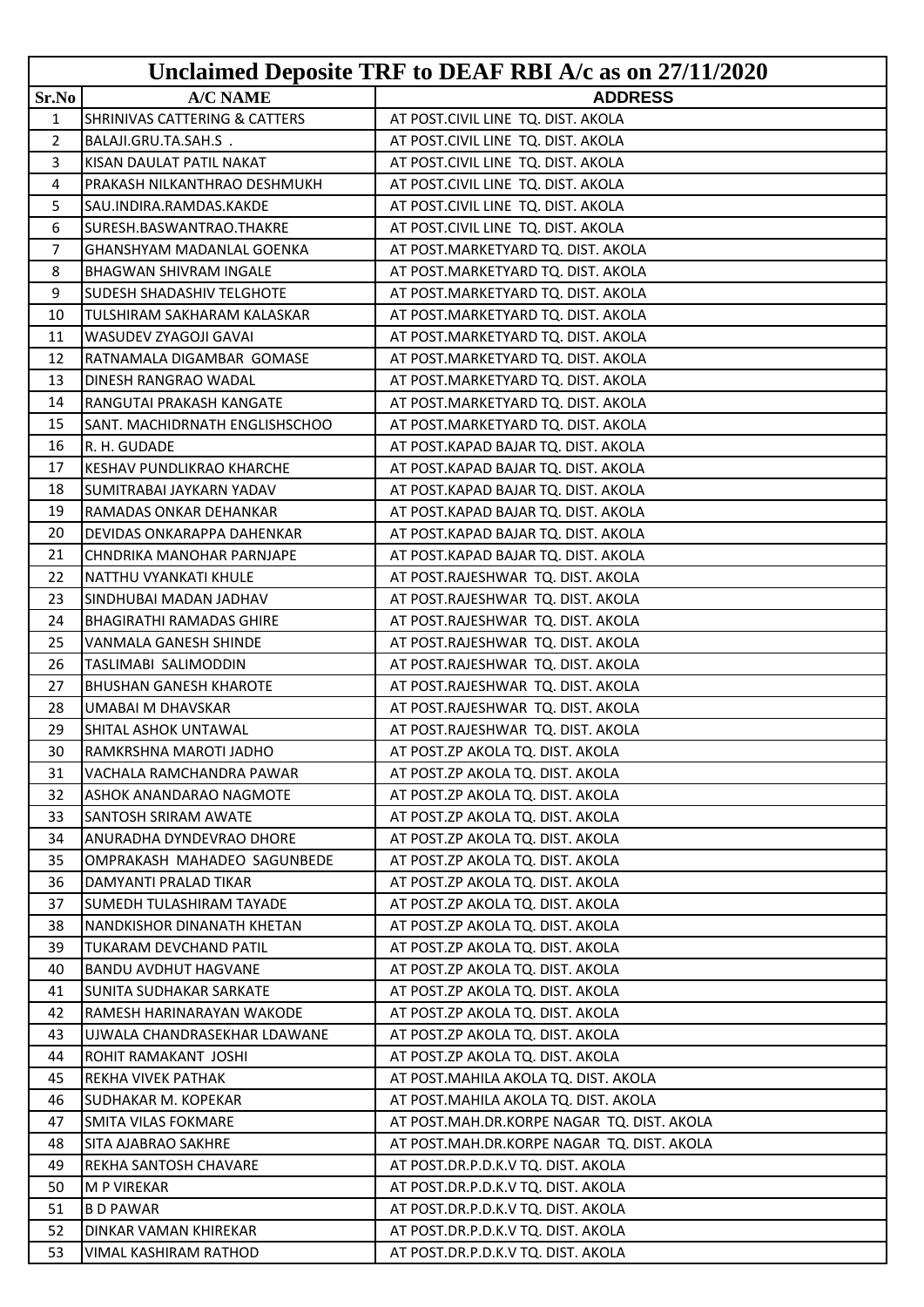|                |                                          | Unclaimed Deposite TRF to DEAF RBI A/c as on 27/11/2020 |
|----------------|------------------------------------------|---------------------------------------------------------|
| Sr.No          | <b>A/C NAME</b>                          | <b>ADDRESS</b>                                          |
| 1              | <b>SHRINIVAS CATTERING &amp; CATTERS</b> | AT POST.CIVIL LINE TQ. DIST. AKOLA                      |
| $\overline{2}$ | BALAJI.GRU.TA.SAH.S.                     | AT POST.CIVIL LINE TQ. DIST. AKOLA                      |
| 3              | KISAN DAULAT PATIL NAKAT                 | AT POST.CIVIL LINE TQ. DIST. AKOLA                      |
| 4              | PRAKASH NILKANTHRAO DESHMUKH             | AT POST.CIVIL LINE TQ. DIST. AKOLA                      |
| 5              | SAU.INDIRA.RAMDAS.KAKDE                  | AT POST.CIVIL LINE TQ. DIST. AKOLA                      |
| 6              | SURESH.BASWANTRAO.THAKRE                 | AT POST.CIVIL LINE TQ. DIST. AKOLA                      |
| 7              | GHANSHYAM MADANLAL GOENKA                | AT POST.MARKETYARD TQ. DIST. AKOLA                      |
| 8              | <b>BHAGWAN SHIVRAM INGALE</b>            | AT POST.MARKETYARD TQ. DIST. AKOLA                      |
| 9              | SUDESH SHADASHIV TELGHOTE                | AT POST.MARKETYARD TQ. DIST. AKOLA                      |
| 10             | TULSHIRAM SAKHARAM KALASKAR              | AT POST.MARKETYARD TQ. DIST. AKOLA                      |
| 11             | WASUDEV ZYAGOJI GAVAI                    | AT POST.MARKETYARD TQ. DIST. AKOLA                      |
| 12             | RATNAMALA DIGAMBAR GOMASE                | AT POST.MARKETYARD TQ. DIST. AKOLA                      |
| 13             | DINESH RANGRAO WADAL                     | AT POST.MARKETYARD TQ. DIST. AKOLA                      |
| 14             | RANGUTAI PRAKASH KANGATE                 | AT POST.MARKETYARD TQ. DIST. AKOLA                      |
| 15             | SANT. MACHIDRNATH ENGLISHSCHOO           | AT POST.MARKETYARD TQ. DIST. AKOLA                      |
| 16             | R. H. GUDADE                             | AT POST.KAPAD BAJAR TQ. DIST. AKOLA                     |
| 17             | KESHAV PUNDLIKRAO KHARCHE                | AT POST.KAPAD BAJAR TQ. DIST. AKOLA                     |
| 18             | SUMITRABAI JAYKARN YADAV                 | AT POST.KAPAD BAJAR TQ. DIST. AKOLA                     |
| 19             | RAMADAS ONKAR DEHANKAR                   | AT POST.KAPAD BAJAR TQ. DIST. AKOLA                     |
| 20             | DEVIDAS ONKARAPPA DAHENKAR               | AT POST.KAPAD BAJAR TQ. DIST. AKOLA                     |
| 21             | CHNDRIKA MANOHAR PARNJAPE                | AT POST.KAPAD BAJAR TQ. DIST. AKOLA                     |
| 22             | NATTHU VYANKATI KHULE                    | AT POST.RAJESHWAR TQ. DIST. AKOLA                       |
| 23             | SINDHUBAI MADAN JADHAV                   | AT POST.RAJESHWAR TQ. DIST. AKOLA                       |
| 24             | <b>BHAGIRATHI RAMADAS GHIRE</b>          | AT POST.RAJESHWAR TQ. DIST. AKOLA                       |
| 25             | VANMALA GANESH SHINDE                    | AT POST.RAJESHWAR TQ. DIST. AKOLA                       |
| 26             | TASLIMABI SALIMODDIN                     | AT POST.RAJESHWAR TQ. DIST. AKOLA                       |
| 27             | <b>BHUSHAN GANESH KHAROTE</b>            | AT POST.RAJESHWAR TQ. DIST. AKOLA                       |
| 28             | UMABAI M DHAVSKAR                        | AT POST.RAJESHWAR TQ. DIST. AKOLA                       |
| 29             | SHITAL ASHOK UNTAWAL                     | AT POST.RAJESHWAR TQ. DIST. AKOLA                       |
| 30             | RAMKRSHNA MAROTI JADHO                   | AT POST.ZP AKOLA TQ. DIST. AKOLA                        |
| 31             | VACHALA RAMCHANDRA PAWAR                 | AT POST.ZP AKOLA TQ. DIST. AKOLA                        |
| 32             | ASHOK ANANDARAO NAGMOTE                  | AT POST.ZP AKOLA TO. DIST. AKOLA                        |
| 33             | SANTOSH SRIRAM AWATE                     | AT POST.ZP AKOLA TQ. DIST. AKOLA                        |
| 34             | ANURADHA DYNDEVRAO DHORE                 | AT POST.ZP AKOLA TQ. DIST. AKOLA                        |
| 35             | OMPRAKASH MAHADEO SAGUNBEDE              | AT POST.ZP AKOLA TQ. DIST. AKOLA                        |
| 36             | DAMYANTI PRALAD TIKAR                    | AT POST.ZP AKOLA TQ. DIST. AKOLA                        |
| 37             | SUMEDH TULASHIRAM TAYADE                 | AT POST.ZP AKOLA TQ. DIST. AKOLA                        |
| 38             | NANDKISHOR DINANATH KHETAN               | AT POST.ZP AKOLA TQ. DIST. AKOLA                        |
| 39             | TUKARAM DEVCHAND PATIL                   | AT POST.ZP AKOLA TQ. DIST. AKOLA                        |
| 40             | <b>BANDU AVDHUT HAGVANE</b>              | AT POST.ZP AKOLA TQ. DIST. AKOLA                        |
| 41             | <b>SUNITA SUDHAKAR SARKATE</b>           | AT POST.ZP AKOLA TQ. DIST. AKOLA                        |
| 42             | RAMESH HARINARAYAN WAKODE                | AT POST.ZP AKOLA TQ. DIST. AKOLA                        |
| 43             | UJWALA CHANDRASEKHAR LDAWANE             | AT POST.ZP AKOLA TQ. DIST. AKOLA                        |
| 44             | ROHIT RAMAKANT JOSHI                     | AT POST.ZP AKOLA TQ. DIST. AKOLA                        |
| 45             | REKHA VIVEK PATHAK                       | AT POST.MAHILA AKOLA TQ. DIST. AKOLA                    |
| 46             | SUDHAKAR M. KOPEKAR                      | AT POST.MAHILA AKOLA TQ. DIST. AKOLA                    |
| 47             | SMITA VILAS FOKMARE                      | AT POST.MAH.DR.KORPE NAGAR TQ. DIST. AKOLA              |
| 48             | SITA AJABRAO SAKHRE                      | AT POST.MAH.DR.KORPE NAGAR TQ. DIST. AKOLA              |
| 49             | REKHA SANTOSH CHAVARE                    | AT POST.DR.P.D.K.V TQ. DIST. AKOLA                      |
| 50             | <b>M P VIREKAR</b>                       | AT POST.DR.P.D.K.V TQ. DIST. AKOLA                      |
| 51             | <b>BD PAWAR</b>                          | AT POST.DR.P.D.K.V TQ. DIST. AKOLA                      |
| 52             | DINKAR VAMAN KHIREKAR                    | AT POST.DR.P.D.K.V TQ. DIST. AKOLA                      |
| 53             | VIMAL KASHIRAM RATHOD                    | AT POST.DR.P.D.K.V TQ. DIST. AKOLA                      |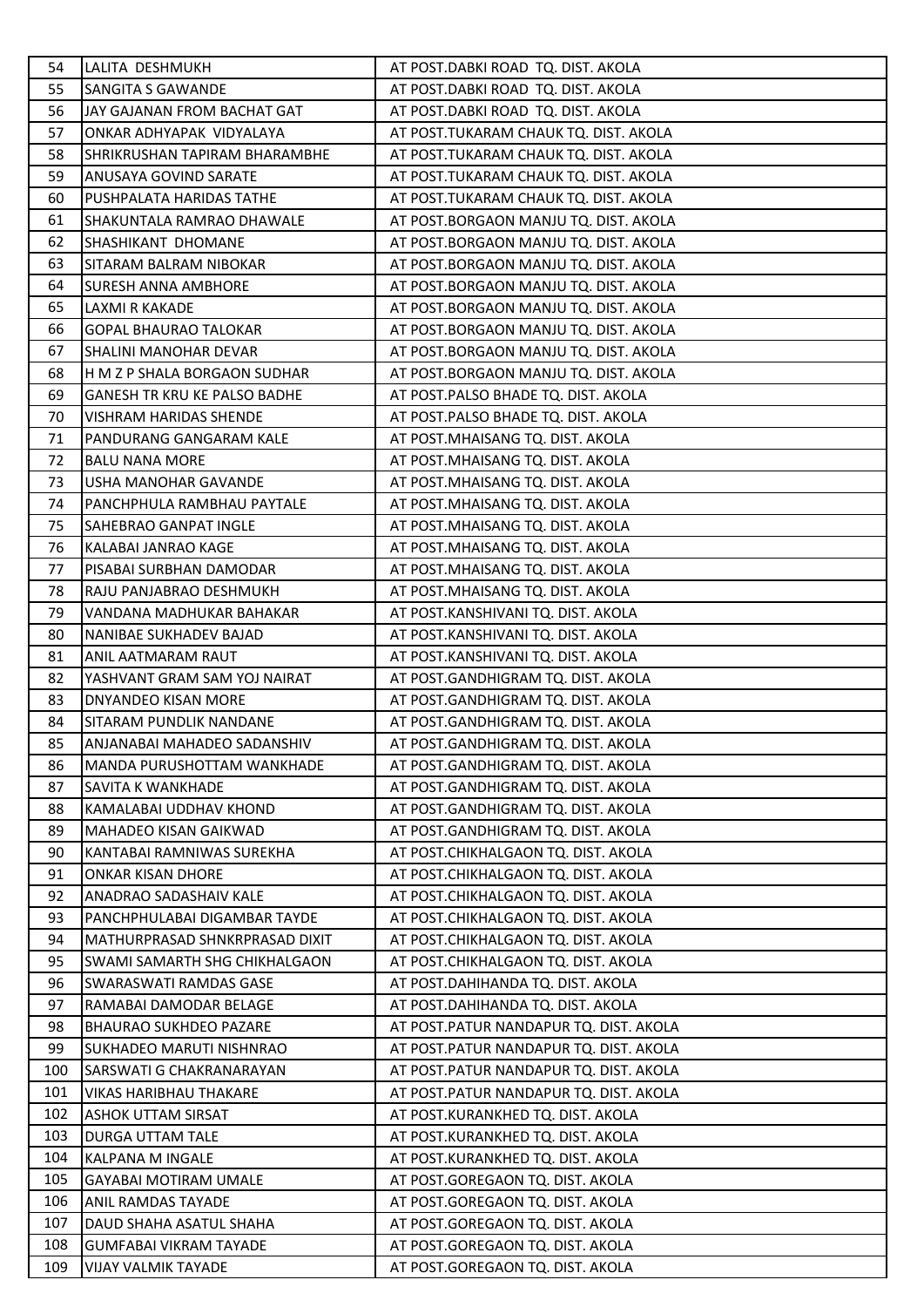| 54  | LALITA DESHMUKH                     | AT POST.DABKI ROAD TQ. DIST. AKOLA     |
|-----|-------------------------------------|----------------------------------------|
| 55  | SANGITA S GAWANDE                   | AT POST.DABKI ROAD TQ. DIST. AKOLA     |
| 56  | JAY GAJANAN FROM BACHAT GAT         | AT POST.DABKI ROAD TQ. DIST. AKOLA     |
| 57  |                                     |                                        |
|     | ONKAR ADHYAPAK VIDYALAYA            | AT POST.TUKARAM CHAUK TQ. DIST. AKOLA  |
| 58  | SHRIKRUSHAN TAPIRAM BHARAMBHE       | AT POST.TUKARAM CHAUK TQ. DIST. AKOLA  |
| 59  | ANUSAYA GOVIND SARATE               | AT POST.TUKARAM CHAUK TQ. DIST. AKOLA  |
| 60  | PUSHPALATA HARIDAS TATHE            | AT POST.TUKARAM CHAUK TQ. DIST. AKOLA  |
| 61  | SHAKUNTALA RAMRAO DHAWALE           | AT POST.BORGAON MANJU TQ. DIST. AKOLA  |
| 62  | SHASHIKANT DHOMANE                  | AT POST.BORGAON MANJU TQ. DIST. AKOLA  |
| 63  | SITARAM BALRAM NIBOKAR              | AT POST.BORGAON MANJU TQ. DIST. AKOLA  |
| 64  | <b>SURESH ANNA AMBHORE</b>          | AT POST.BORGAON MANJU TQ. DIST. AKOLA  |
| 65  | LAXMI R KAKADE                      | AT POST.BORGAON MANJU TQ. DIST. AKOLA  |
| 66  | <b>GOPAL BHAURAO TALOKAR</b>        | AT POST.BORGAON MANJU TQ. DIST. AKOLA  |
| 67  | SHALINI MANOHAR DEVAR               | AT POST.BORGAON MANJU TQ. DIST. AKOLA  |
| 68  | H M Z P SHALA BORGAON SUDHAR        | AT POST.BORGAON MANJU TQ. DIST. AKOLA  |
| 69  | <b>GANESH TR KRU KE PALSO BADHE</b> | AT POST.PALSO BHADE TQ. DIST. AKOLA    |
| 70  | VISHRAM HARIDAS SHENDE              | AT POST.PALSO BHADE TQ. DIST. AKOLA    |
| 71  | PANDURANG GANGARAM KALE             | AT POST.MHAISANG TQ. DIST. AKOLA       |
| 72  | <b>BALU NANA MORE</b>               | AT POST.MHAISANG TQ. DIST. AKOLA       |
| 73  | USHA MANOHAR GAVANDE                | AT POST.MHAISANG TQ. DIST. AKOLA       |
| 74  | PANCHPHULA RAMBHAU PAYTALE          | AT POST.MHAISANG TQ. DIST. AKOLA       |
| 75  | SAHEBRAO GANPAT INGLE               | AT POST.MHAISANG TQ. DIST. AKOLA       |
| 76  | KALABAI JANRAO KAGE                 | AT POST.MHAISANG TQ. DIST. AKOLA       |
| 77  | PISABAI SURBHAN DAMODAR             | AT POST.MHAISANG TQ. DIST. AKOLA       |
| 78  | RAJU PANJABRAO DESHMUKH             | AT POST.MHAISANG TQ. DIST. AKOLA       |
| 79  | VANDANA MADHUKAR BAHAKAR            | AT POST.KANSHIVANI TQ. DIST. AKOLA     |
| 80  | NANIBAE SUKHADEV BAJAD              | AT POST.KANSHIVANI TQ. DIST. AKOLA     |
| 81  | ANIL AATMARAM RAUT                  | AT POST.KANSHIVANI TQ. DIST. AKOLA     |
| 82  | YASHVANT GRAM SAM YOJ NAIRAT        | AT POST.GANDHIGRAM TQ. DIST. AKOLA     |
| 83  | DNYANDEO KISAN MORE                 | AT POST.GANDHIGRAM TQ. DIST. AKOLA     |
| 84  | SITARAM PUNDLIK NANDANE             | AT POST.GANDHIGRAM TQ. DIST. AKOLA     |
| 85  | ANJANABAI MAHADEO SADANSHIV         | AT POST.GANDHIGRAM TQ. DIST. AKOLA     |
| 86  | MANDA PURUSHOTTAM WANKHADE          | AT POST.GANDHIGRAM TQ. DIST. AKOLA     |
| 87  | SAVITA K WANKHADE                   | AT POST.GANDHIGRAM TQ. DIST. AKOLA     |
| 88  | KAMALABAI UDDHAV KHOND              | AT POST.GANDHIGRAM TO, DIST, AKOLA     |
| 89  | MAHADEO KISAN GAIKWAD               | AT POST.GANDHIGRAM TQ. DIST. AKOLA     |
|     |                                     |                                        |
| 90  | KANTABAI RAMNIWAS SUREKHA           | AT POST.CHIKHALGAON TQ. DIST. AKOLA    |
| 91  | ONKAR KISAN DHORE                   | AT POST.CHIKHALGAON TQ. DIST. AKOLA    |
| 92  | ANADRAO SADASHAIV KALE              | AT POST.CHIKHALGAON TQ. DIST. AKOLA    |
| 93  | PANCHPHULABAI DIGAMBAR TAYDE        | AT POST.CHIKHALGAON TQ. DIST. AKOLA    |
| 94  | MATHURPRASAD SHNKRPRASAD DIXIT      | AT POST.CHIKHALGAON TQ. DIST. AKOLA    |
| 95  | SWAMI SAMARTH SHG CHIKHALGAON       | AT POST.CHIKHALGAON TQ. DIST. AKOLA    |
| 96  | <b>SWARASWATI RAMDAS GASE</b>       | AT POST.DAHIHANDA TQ. DIST. AKOLA      |
| 97  | RAMABAI DAMODAR BELAGE              | AT POST.DAHIHANDA TQ. DIST. AKOLA      |
| 98  | <b>BHAURAO SUKHDEO PAZARE</b>       | AT POST.PATUR NANDAPUR TQ. DIST. AKOLA |
| 99  | SUKHADEO MARUTI NISHNRAO            | AT POST.PATUR NANDAPUR TQ. DIST. AKOLA |
| 100 | SARSWATI G CHAKRANARAYAN            | AT POST.PATUR NANDAPUR TQ. DIST. AKOLA |
| 101 | VIKAS HARIBHAU THAKARE              | AT POST.PATUR NANDAPUR TQ. DIST. AKOLA |
| 102 | <b>ASHOK UTTAM SIRSAT</b>           | AT POST.KURANKHED TQ. DIST. AKOLA      |
| 103 | DURGA UTTAM TALE                    | AT POST.KURANKHED TQ. DIST. AKOLA      |
| 104 | KALPANA M INGALE                    | AT POST.KURANKHED TQ. DIST. AKOLA      |
| 105 | <b>GAYABAI MOTIRAM UMALE</b>        | AT POST.GOREGAON TQ. DIST. AKOLA       |
| 106 | <b>ANIL RAMDAS TAYADE</b>           | AT POST.GOREGAON TQ. DIST. AKOLA       |
| 107 | DAUD SHAHA ASATUL SHAHA             | AT POST.GOREGAON TQ. DIST. AKOLA       |
| 108 | <b>GUMFABAI VIKRAM TAYADE</b>       | AT POST.GOREGAON TQ. DIST. AKOLA       |
| 109 | VIJAY VALMIK TAYADE                 | AT POST.GOREGAON TQ. DIST. AKOLA       |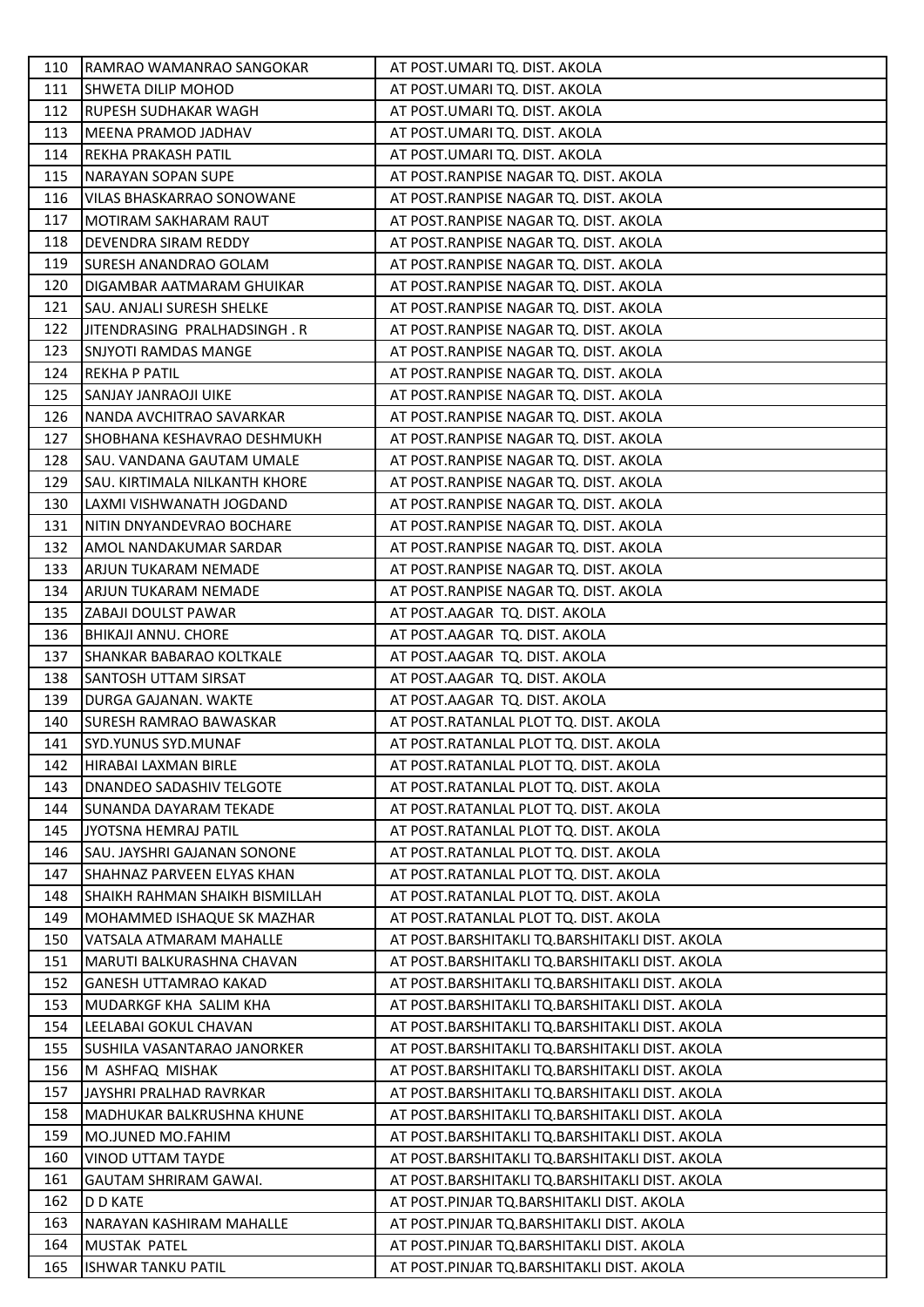| 110 | RAMRAO WAMANRAO SANGOKAR              | AT POST.UMARI TQ. DIST. AKOLA                  |
|-----|---------------------------------------|------------------------------------------------|
| 111 | <b>SHWETA DILIP MOHOD</b>             | AT POST.UMARI TQ. DIST. AKOLA                  |
| 112 | RUPESH SUDHAKAR WAGH                  | AT POST.UMARI TQ. DIST. AKOLA                  |
| 113 | MEENA PRAMOD JADHAV                   | AT POST.UMARI TQ. DIST. AKOLA                  |
| 114 | REKHA PRAKASH PATIL                   | AT POST.UMARI TQ. DIST. AKOLA                  |
| 115 | NARAYAN SOPAN SUPE                    | AT POST.RANPISE NAGAR TQ. DIST. AKOLA          |
| 116 | VILAS BHASKARRAO SONOWANE             | AT POST.RANPISE NAGAR TQ. DIST. AKOLA          |
| 117 | MOTIRAM SAKHARAM RAUT                 | AT POST.RANPISE NAGAR TQ. DIST. AKOLA          |
| 118 | DEVENDRA SIRAM REDDY                  | AT POST.RANPISE NAGAR TQ. DIST. AKOLA          |
| 119 | SURESH ANANDRAO GOLAM                 | AT POST.RANPISE NAGAR TQ. DIST. AKOLA          |
| 120 | DIGAMBAR AATMARAM GHUIKAR             | AT POST.RANPISE NAGAR TQ. DIST. AKOLA          |
| 121 | SAU. ANJALI SURESH SHELKE             | AT POST.RANPISE NAGAR TQ. DIST. AKOLA          |
| 122 | JITENDRASING PRALHADSINGH. R          | AT POST.RANPISE NAGAR TQ. DIST. AKOLA          |
| 123 | <b>SNJYOTI RAMDAS MANGE</b>           | AT POST.RANPISE NAGAR TQ. DIST. AKOLA          |
| 124 | <b>REKHA P PATIL</b>                  | AT POST.RANPISE NAGAR TQ. DIST. AKOLA          |
| 125 | SANJAY JANRAOJI UIKE                  | AT POST.RANPISE NAGAR TQ. DIST. AKOLA          |
| 126 | NANDA AVCHITRAO SAVARKAR              | AT POST.RANPISE NAGAR TQ. DIST. AKOLA          |
| 127 | SHOBHANA KESHAVRAO DESHMUKH           | AT POST.RANPISE NAGAR TQ. DIST. AKOLA          |
| 128 | SAU. VANDANA GAUTAM UMALE             | AT POST.RANPISE NAGAR TQ. DIST. AKOLA          |
| 129 | SAU. KIRTIMALA NILKANTH KHORE         | AT POST.RANPISE NAGAR TQ. DIST. AKOLA          |
| 130 | LAXMI VISHWANATH JOGDAND              | AT POST.RANPISE NAGAR TQ. DIST. AKOLA          |
| 131 | NITIN DNYANDEVRAO BOCHARE             | AT POST.RANPISE NAGAR TQ. DIST. AKOLA          |
| 132 | AMOL NANDAKUMAR SARDAR                | AT POST.RANPISE NAGAR TQ. DIST. AKOLA          |
| 133 | ARJUN TUKARAM NEMADE                  | AT POST.RANPISE NAGAR TQ. DIST. AKOLA          |
| 134 | ARJUN TUKARAM NEMADE                  | AT POST.RANPISE NAGAR TQ. DIST. AKOLA          |
| 135 | ZABAJI DOULST PAWAR                   | AT POST.AAGAR TQ. DIST. AKOLA                  |
| 136 | <b>BHIKAJI ANNU. CHORE</b>            | AT POST.AAGAR TQ. DIST. AKOLA                  |
| 137 | SHANKAR BABARAO KOLTKALE              | AT POST.AAGAR TQ. DIST. AKOLA                  |
| 138 | SANTOSH UTTAM SIRSAT                  | AT POST.AAGAR TQ. DIST. AKOLA                  |
| 139 | DURGA GAJANAN. WAKTE                  | AT POST.AAGAR TQ. DIST. AKOLA                  |
| 140 | <b>SURESH RAMRAO BAWASKAR</b>         | AT POST.RATANLAL PLOT TQ. DIST. AKOLA          |
| 141 | <b>SYD.YUNUS SYD.MUNAF</b>            | AT POST.RATANLAL PLOT TQ. DIST. AKOLA          |
| 142 | HIRABAI LAXMAN BIRLE                  | AT POST.RATANLAL PLOT TQ. DIST. AKOLA          |
| 143 | DNANDEO SADASHIV TELGOTE              | AT POST.RATANLAL PLOT TQ. DIST. AKOLA          |
| 144 | SUNANDA DAYARAM TEKADE                | AT POST.RATANLAL PLOT TQ. DIST. AKOLA          |
| 145 | JYOTSNA HEMRAJ PATIL                  | AT POST.RATANLAL PLOT TQ. DIST. AKOLA          |
| 146 | SAU. JAYSHRI GAJANAN SONONE           | AT POST.RATANLAL PLOT TQ. DIST. AKOLA          |
| 147 | SHAHNAZ PARVEEN ELYAS KHAN            | AT POST.RATANLAL PLOT TQ. DIST. AKOLA          |
| 148 | <b>SHAIKH RAHMAN SHAIKH BISMILLAH</b> | AT POST.RATANLAL PLOT TQ. DIST. AKOLA          |
| 149 | MOHAMMED ISHAQUE SK MAZHAR            | AT POST.RATANLAL PLOT TQ. DIST. AKOLA          |
| 150 | VATSALA ATMARAM MAHALLE               | AT POST.BARSHITAKLI TQ.BARSHITAKLI DIST. AKOLA |
| 151 | MARUTI BALKURASHNA CHAVAN             | AT POST.BARSHITAKLI TQ.BARSHITAKLI DIST. AKOLA |
| 152 | <b>GANESH UTTAMRAO KAKAD</b>          | AT POST.BARSHITAKLI TQ.BARSHITAKLI DIST. AKOLA |
| 153 | MUDARKGF KHA SALIM KHA                | AT POST.BARSHITAKLI TQ.BARSHITAKLI DIST. AKOLA |
| 154 | LEELABAI GOKUL CHAVAN                 | AT POST.BARSHITAKLI TQ.BARSHITAKLI DIST. AKOLA |
| 155 | SUSHILA VASANTARAO JANORKER           | AT POST.BARSHITAKLI TQ.BARSHITAKLI DIST. AKOLA |
| 156 | M ASHFAQ MISHAK                       | AT POST.BARSHITAKLI TQ.BARSHITAKLI DIST. AKOLA |
| 157 | JAYSHRI PRALHAD RAVRKAR               | AT POST.BARSHITAKLI TQ.BARSHITAKLI DIST. AKOLA |
| 158 | MADHUKAR BALKRUSHNA KHUNE             | AT POST.BARSHITAKLI TQ.BARSHITAKLI DIST. AKOLA |
| 159 | MO.JUNED MO.FAHIM                     | AT POST.BARSHITAKLI TQ.BARSHITAKLI DIST. AKOLA |
| 160 | <b>VINOD UTTAM TAYDE</b>              | AT POST.BARSHITAKLI TQ.BARSHITAKLI DIST. AKOLA |
| 161 | GAUTAM SHRIRAM GAWAI.                 | AT POST.BARSHITAKLI TQ.BARSHITAKLI DIST. AKOLA |
| 162 | D D KATE                              | AT POST.PINJAR TQ.BARSHITAKLI DIST. AKOLA      |
| 163 | NARAYAN KASHIRAM MAHALLE              | AT POST.PINJAR TQ.BARSHITAKLI DIST. AKOLA      |
| 164 | <b>MUSTAK PATEL</b>                   | AT POST.PINJAR TQ.BARSHITAKLI DIST. AKOLA      |
| 165 | <b>ISHWAR TANKU PATIL</b>             | AT POST.PINJAR TQ.BARSHITAKLI DIST. AKOLA      |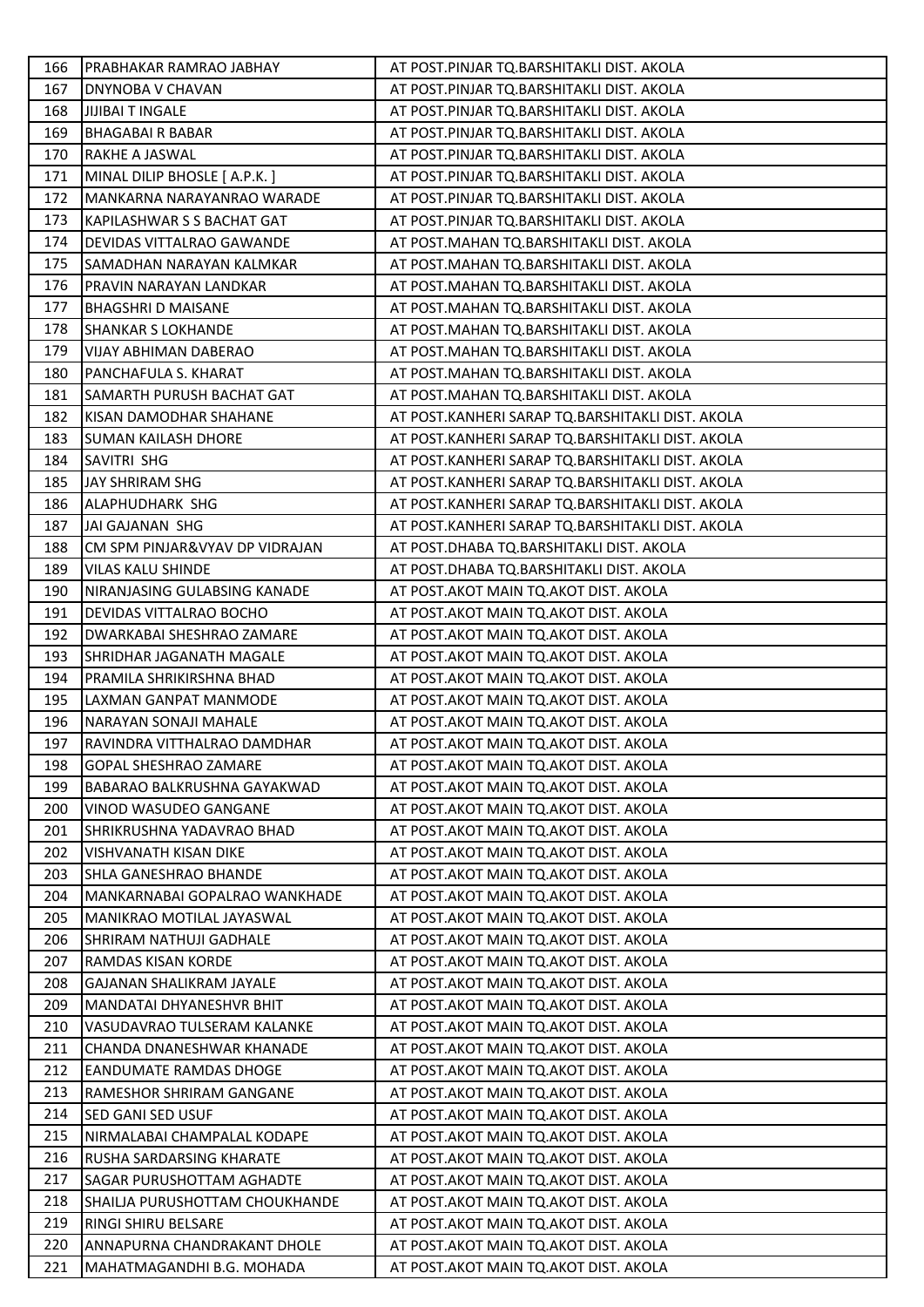| 166 | PRABHAKAR RAMRAO JABHAY          | AT POST.PINJAR TQ.BARSHITAKLI DIST. AKOLA        |
|-----|----------------------------------|--------------------------------------------------|
| 167 | DNYNOBA V CHAVAN                 | AT POST.PINJAR TQ.BARSHITAKLI DIST. AKOLA        |
| 168 | <b>JIJIBAI T INGALE</b>          | AT POST.PINJAR TQ.BARSHITAKLI DIST. AKOLA        |
| 169 | <b>BHAGABAIR BABAR</b>           | AT POST.PINJAR TQ.BARSHITAKLI DIST. AKOLA        |
| 170 | RAKHE A JASWAL                   | AT POST.PINJAR TQ.BARSHITAKLI DIST. AKOLA        |
| 171 | MINAL DILIP BHOSLE [ A.P.K. ]    | AT POST.PINJAR TQ.BARSHITAKLI DIST. AKOLA        |
| 172 | MANKARNA NARAYANRAO WARADE       | AT POST.PINJAR TQ.BARSHITAKLI DIST. AKOLA        |
| 173 | KAPILASHWAR S S BACHAT GAT       | AT POST.PINJAR TQ.BARSHITAKLI DIST. AKOLA        |
| 174 | DEVIDAS VITTALRAO GAWANDE        | AT POST.MAHAN TQ.BARSHITAKLI DIST. AKOLA         |
| 175 | SAMADHAN NARAYAN KALMKAR         | AT POST.MAHAN TQ.BARSHITAKLI DIST. AKOLA         |
| 176 | PRAVIN NARAYAN LANDKAR           | AT POST.MAHAN TQ.BARSHITAKLI DIST. AKOLA         |
| 177 | <b>BHAGSHRI D MAISANE</b>        | AT POST.MAHAN TQ.BARSHITAKLI DIST. AKOLA         |
| 178 | <b>SHANKAR S LOKHANDE</b>        | AT POST.MAHAN TQ.BARSHITAKLI DIST. AKOLA         |
| 179 | VIJAY ABHIMAN DABERAO            | AT POST.MAHAN TQ.BARSHITAKLI DIST. AKOLA         |
| 180 | PANCHAFULA S. KHARAT             | AT POST.MAHAN TQ.BARSHITAKLI DIST. AKOLA         |
| 181 | SAMARTH PURUSH BACHAT GAT        | AT POST. MAHAN TQ. BARSHITAKLI DIST. AKOLA       |
| 182 | KISAN DAMODHAR SHAHANE           | AT POST.KANHERI SARAP TQ.BARSHITAKLI DIST. AKOLA |
| 183 | SUMAN KAILASH DHORE              | AT POST.KANHERI SARAP TQ.BARSHITAKLI DIST. AKOLA |
| 184 | SAVITRI SHG                      | AT POST.KANHERI SARAP TQ.BARSHITAKLI DIST. AKOLA |
| 185 | JAY SHRIRAM SHG                  | AT POST.KANHERI SARAP TQ.BARSHITAKLI DIST. AKOLA |
| 186 | ALAPHUDHARK SHG                  | AT POST.KANHERI SARAP TQ.BARSHITAKLI DIST. AKOLA |
| 187 | JAI GAJANAN SHG                  | AT POST.KANHERI SARAP TQ.BARSHITAKLI DIST. AKOLA |
| 188 | CM SPM PINJAR&VYAV DP VIDRAJAN   | AT POST.DHABA TQ.BARSHITAKLI DIST. AKOLA         |
| 189 | VILAS KALU SHINDE                | AT POST.DHABA TQ.BARSHITAKLI DIST. AKOLA         |
| 190 | NIRANJASING GULABSING KANADE     | AT POST. AKOT MAIN TQ. AKOT DIST. AKOLA          |
| 191 | DEVIDAS VITTALRAO BOCHO          | AT POST. AKOT MAIN TQ. AKOT DIST. AKOLA          |
| 192 | DWARKABAI SHESHRAO ZAMARE        | AT POST.AKOT MAIN TQ.AKOT DIST. AKOLA            |
| 193 | SHRIDHAR JAGANATH MAGALE         | AT POST.AKOT MAIN TQ.AKOT DIST. AKOLA            |
| 194 | PRAMILA SHRIKIRSHNA BHAD         | AT POST. AKOT MAIN TQ. AKOT DIST. AKOLA          |
| 195 | LAXMAN GANPAT MANMODE            | AT POST.AKOT MAIN TQ.AKOT DIST. AKOLA            |
| 196 | NARAYAN SONAJI MAHALE            | AT POST.AKOT MAIN TQ.AKOT DIST. AKOLA            |
| 197 | RAVINDRA VITTHALRAO DAMDHAR      | AT POST.AKOT MAIN TQ.AKOT DIST. AKOLA            |
| 198 | <b>GOPAL SHESHRAO ZAMARE</b>     | AT POST.AKOT MAIN TQ.AKOT DIST. AKOLA            |
| 199 | BABARAO BALKRUSHNA GAYAKWAD      | AT POST. AKOT MAIN TQ. AKOT DIST. AKOLA          |
| 200 | VINOD WASUDEO GANGANE            | AT POST. AKOT MAIN TQ. AKOT DIST. AKOLA          |
| 201 | SHRIKRUSHNA YADAVRAO BHAD        | AT POST. AKOT MAIN TQ. AKOT DIST. AKOLA          |
| 202 | <b>VISHVANATH KISAN DIKE</b>     | AT POST. AKOT MAIN TO. AKOT DIST. AKOLA          |
| 203 | SHLA GANESHRAO BHANDE            | AT POST.AKOT MAIN TO.AKOT DIST. AKOLA            |
| 204 | MANKARNABAI GOPALRAO WANKHADE    | AT POST. AKOT MAIN TO. AKOT DIST. AKOLA          |
| 205 | <b>MANIKRAO MOTILAL JAYASWAL</b> | AT POST. AKOT MAIN TQ. AKOT DIST. AKOLA          |
| 206 | <b>SHRIRAM NATHUJI GADHALE</b>   | AT POST. AKOT MAIN TQ. AKOT DIST. AKOLA          |
| 207 | RAMDAS KISAN KORDE               | AT POST.AKOT MAIN TQ.AKOT DIST. AKOLA            |
| 208 | <b>GAJANAN SHALIKRAM JAYALE</b>  | AT POST. AKOT MAIN TQ. AKOT DIST. AKOLA          |
| 209 | MANDATAI DHYANESHVR BHIT         | AT POST. AKOT MAIN TQ. AKOT DIST. AKOLA          |
| 210 | VASUDAVRAO TULSERAM KALANKE      | AT POST. AKOT MAIN TQ. AKOT DIST. AKOLA          |
| 211 | CHANDA DNANESHWAR KHANADE        | AT POST. AKOT MAIN TQ. AKOT DIST. AKOLA          |
| 212 | <b>EANDUMATE RAMDAS DHOGE</b>    | AT POST. AKOT MAIN TQ. AKOT DIST. AKOLA          |
| 213 | RAMESHOR SHRIRAM GANGANE         | AT POST.AKOT MAIN TQ.AKOT DIST. AKOLA            |
| 214 | <b>SED GANI SED USUF</b>         | AT POST. AKOT MAIN TQ. AKOT DIST. AKOLA          |
| 215 | NIRMALABAI CHAMPALAL KODAPE      | AT POST.AKOT MAIN TQ.AKOT DIST. AKOLA            |
| 216 | <b>RUSHA SARDARSING KHARATE</b>  | AT POST. AKOT MAIN TQ. AKOT DIST. AKOLA          |
| 217 | <b>SAGAR PURUSHOTTAM AGHADTE</b> | AT POST.AKOT MAIN TQ.AKOT DIST. AKOLA            |
| 218 | SHAILJA PURUSHOTTAM CHOUKHANDE   | AT POST.AKOT MAIN TQ.AKOT DIST. AKOLA            |
| 219 | RINGI SHIRU BELSARE              | AT POST. AKOT MAIN TO. AKOT DIST. AKOLA          |
| 220 | ANNAPURNA CHANDRAKANT DHOLE      | AT POST. AKOT MAIN TQ. AKOT DIST. AKOLA          |
| 221 | MAHATMAGANDHI B.G. MOHADA        | AT POST.AKOT MAIN TQ.AKOT DIST. AKOLA            |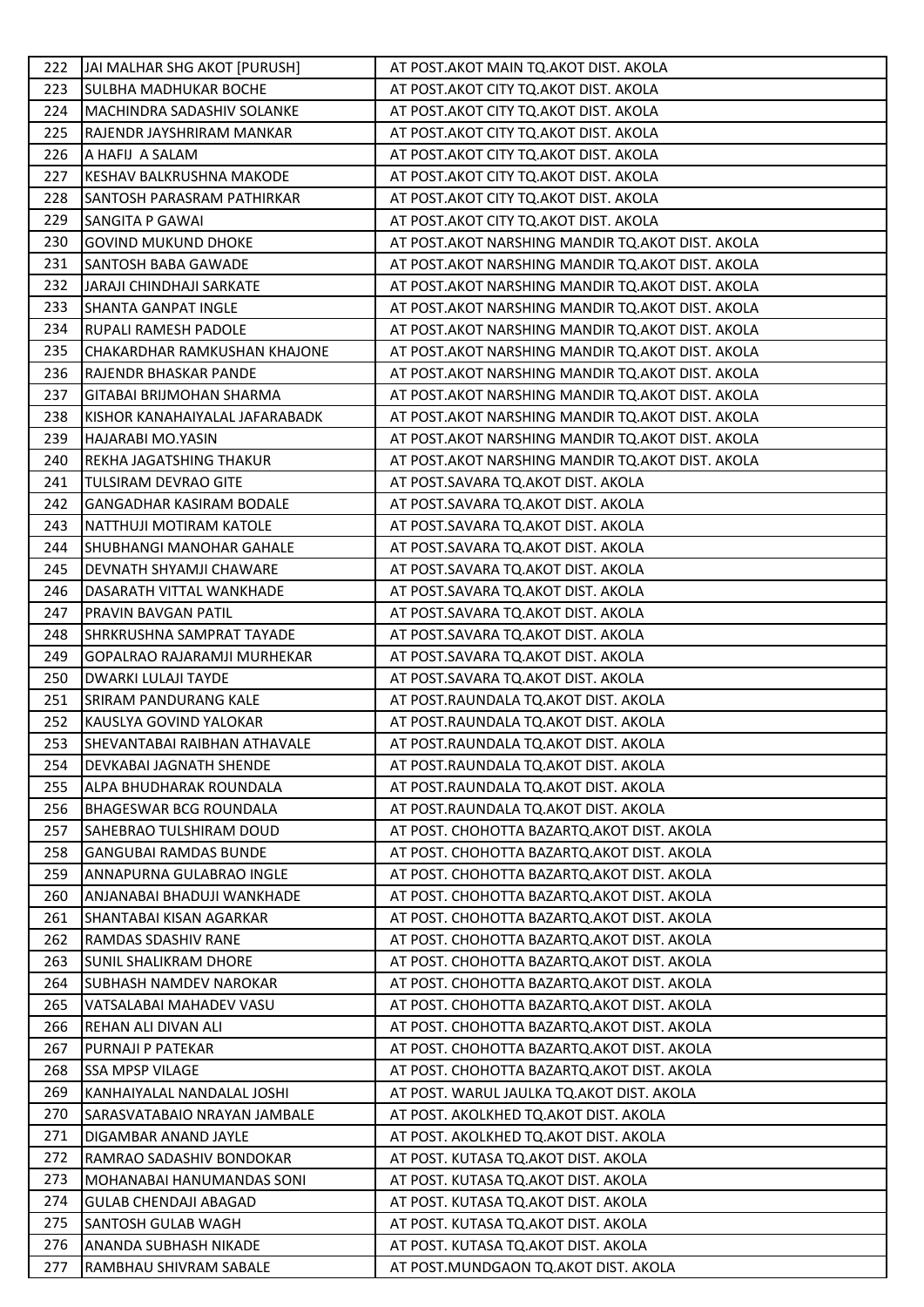| 222 | JAI MALHAR SHG AKOT [PURUSH]        | AT POST.AKOT MAIN TQ.AKOT DIST. AKOLA              |
|-----|-------------------------------------|----------------------------------------------------|
| 223 | <b>SULBHA MADHUKAR BOCHE</b>        | AT POST. AKOT CITY TQ. AKOT DIST. AKOLA            |
| 224 | MACHINDRA SADASHIV SOLANKE          | AT POST. AKOT CITY TQ. AKOT DIST. AKOLA            |
| 225 | RAJENDR JAYSHRIRAM MANKAR           | AT POST. AKOT CITY TQ. AKOT DIST. AKOLA            |
| 226 | A HAFIJ A SALAM                     | AT POST. AKOT CITY TQ. AKOT DIST. AKOLA            |
| 227 | KESHAV BALKRUSHNA MAKODE            | AT POST.AKOT CITY TQ.AKOT DIST. AKOLA              |
| 228 | SANTOSH PARASRAM PATHIRKAR          | AT POST.AKOT CITY TQ.AKOT DIST. AKOLA              |
| 229 | <b>SANGITA P GAWAI</b>              | AT POST. AKOT CITY TO. AKOT DIST. AKOLA            |
| 230 | <b>GOVIND MUKUND DHOKE</b>          | AT POST.AKOT NARSHING MANDIR TQ.AKOT DIST. AKOLA   |
| 231 | <b>SANTOSH BABA GAWADE</b>          | AT POST. AKOT NARSHING MANDIR TQ. AKOT DIST. AKOLA |
| 232 | JARAJI CHINDHAJI SARKATE            | AT POST.AKOT NARSHING MANDIR TQ.AKOT DIST. AKOLA   |
| 233 | <b>SHANTA GANPAT INGLE</b>          | AT POST.AKOT NARSHING MANDIR TQ.AKOT DIST. AKOLA   |
| 234 | <b>RUPALI RAMESH PADOLE</b>         | AT POST. AKOT NARSHING MANDIR TQ. AKOT DIST. AKOLA |
| 235 | CHAKARDHAR RAMKUSHAN KHAJONE        | AT POST. AKOT NARSHING MANDIR TQ. AKOT DIST. AKOLA |
| 236 | RAJENDR BHASKAR PANDE               | AT POST. AKOT NARSHING MANDIR TQ. AKOT DIST. AKOLA |
| 237 | GITABAI BRIJMOHAN SHARMA            | AT POST. AKOT NARSHING MANDIR TQ. AKOT DIST. AKOLA |
| 238 | KISHOR KANAHAIYALAL JAFARABADK      | AT POST. AKOT NARSHING MANDIR TQ. AKOT DIST. AKOLA |
| 239 | HAJARABI MO.YASIN                   | AT POST.AKOT NARSHING MANDIR TQ.AKOT DIST. AKOLA   |
| 240 | REKHA JAGATSHING THAKUR             | AT POST. AKOT NARSHING MANDIR TQ. AKOT DIST. AKOLA |
| 241 | <b>TULSIRAM DEVRAO GITE</b>         | AT POST.SAVARA TQ.AKOT DIST. AKOLA                 |
| 242 | <b>GANGADHAR KASIRAM BODALE</b>     | AT POST.SAVARA TQ.AKOT DIST. AKOLA                 |
| 243 | NATTHUJI MOTIRAM KATOLE             | AT POST.SAVARA TQ.AKOT DIST. AKOLA                 |
| 244 | <b>SHUBHANGI MANOHAR GAHALE</b>     | AT POST.SAVARA TQ.AKOT DIST. AKOLA                 |
| 245 | DEVNATH SHYAMJI CHAWARE             | AT POST.SAVARA TQ.AKOT DIST. AKOLA                 |
| 246 | DASARATH VITTAL WANKHADE            | AT POST.SAVARA TQ.AKOT DIST. AKOLA                 |
| 247 | PRAVIN BAVGAN PATIL                 | AT POST.SAVARA TQ.AKOT DIST. AKOLA                 |
| 248 | SHRKRUSHNA SAMPRAT TAYADE           | AT POST.SAVARA TQ.AKOT DIST. AKOLA                 |
| 249 | GOPALRAO RAJARAMJI MURHEKAR         | AT POST.SAVARA TQ.AKOT DIST. AKOLA                 |
| 250 | DWARKI LULAJI TAYDE                 | AT POST.SAVARA TQ.AKOT DIST. AKOLA                 |
| 251 | SRIRAM PANDURANG KALE               | AT POST.RAUNDALA TQ.AKOT DIST. AKOLA               |
| 252 | KAUSLYA GOVIND YALOKAR              | AT POST.RAUNDALA TQ.AKOT DIST. AKOLA               |
| 253 | <b>SHEVANTABAI RAIBHAN ATHAVALE</b> | AT POST.RAUNDALA TQ.AKOT DIST. AKOLA               |
| 254 | DEVKABAI JAGNATH SHENDE             | AT POST.RAUNDALA TQ.AKOT DIST. AKOLA               |
| 255 | ALPA BHUDHARAK ROUNDALA             | AT POST.RAUNDALA TQ.AKOT DIST. AKOLA               |
| 256 | <b>BHAGESWAR BCG ROUNDALA</b>       | AT POST.RAUNDALA TO.AKOT DIST. AKOLA               |
| 257 | SAHEBRAO TULSHIRAM DOUD             | AT POST. CHOHOTTA BAZARTQ.AKOT DIST. AKOLA         |
| 258 | <b>GANGUBAI RAMDAS BUNDE</b>        | AT POST. CHOHOTTA BAZARTQ.AKOT DIST. AKOLA         |
| 259 | ANNAPURNA GULABRAO INGLE            | AT POST. CHOHOTTA BAZARTQ.AKOT DIST. AKOLA         |
| 260 | ANJANABAI BHADUJI WANKHADE          | AT POST. CHOHOTTA BAZARTO. AKOT DIST. AKOLA        |
| 261 | SHANTABAI KISAN AGARKAR             | AT POST. CHOHOTTA BAZARTQ.AKOT DIST. AKOLA         |
| 262 | RAMDAS SDASHIV RANE                 | AT POST. CHOHOTTA BAZARTQ.AKOT DIST. AKOLA         |
| 263 | <b>SUNIL SHALIKRAM DHORE</b>        | AT POST. CHOHOTTA BAZARTQ.AKOT DIST. AKOLA         |
| 264 | <b>SUBHASH NAMDEV NAROKAR</b>       | AT POST. CHOHOTTA BAZARTQ.AKOT DIST. AKOLA         |
| 265 | VATSALABAI MAHADEV VASU             | AT POST. CHOHOTTA BAZARTQ.AKOT DIST. AKOLA         |
| 266 | REHAN ALI DIVAN ALI                 | AT POST. CHOHOTTA BAZARTQ.AKOT DIST. AKOLA         |
| 267 | PURNAJI P PATEKAR                   | AT POST. CHOHOTTA BAZARTQ.AKOT DIST. AKOLA         |
| 268 | <b>SSA MPSP VILAGE</b>              | AT POST. CHOHOTTA BAZARTQ.AKOT DIST. AKOLA         |
| 269 | KANHAIYALAL NANDALAL JOSHI          | AT POST. WARUL JAULKA TQ.AKOT DIST. AKOLA          |
| 270 | SARASVATABAIO NRAYAN JAMBALE        | AT POST. AKOLKHED TQ.AKOT DIST. AKOLA              |
| 271 | DIGAMBAR ANAND JAYLE                | AT POST. AKOLKHED TQ.AKOT DIST. AKOLA              |
| 272 | RAMRAO SADASHIV BONDOKAR            | AT POST. KUTASA TQ.AKOT DIST. AKOLA                |
| 273 | MOHANABAI HANUMANDAS SONI           | AT POST. KUTASA TQ.AKOT DIST. AKOLA                |
| 274 | <b>GULAB CHENDAJI ABAGAD</b>        | AT POST. KUTASA TQ.AKOT DIST. AKOLA                |
| 275 | SANTOSH GULAB WAGH                  | AT POST. KUTASA TQ.AKOT DIST. AKOLA                |
| 276 | ANANDA SUBHASH NIKADE               | AT POST. KUTASA TQ.AKOT DIST. AKOLA                |
| 277 | RAMBHAU SHIVRAM SABALE              | AT POST.MUNDGAON TQ.AKOT DIST. AKOLA               |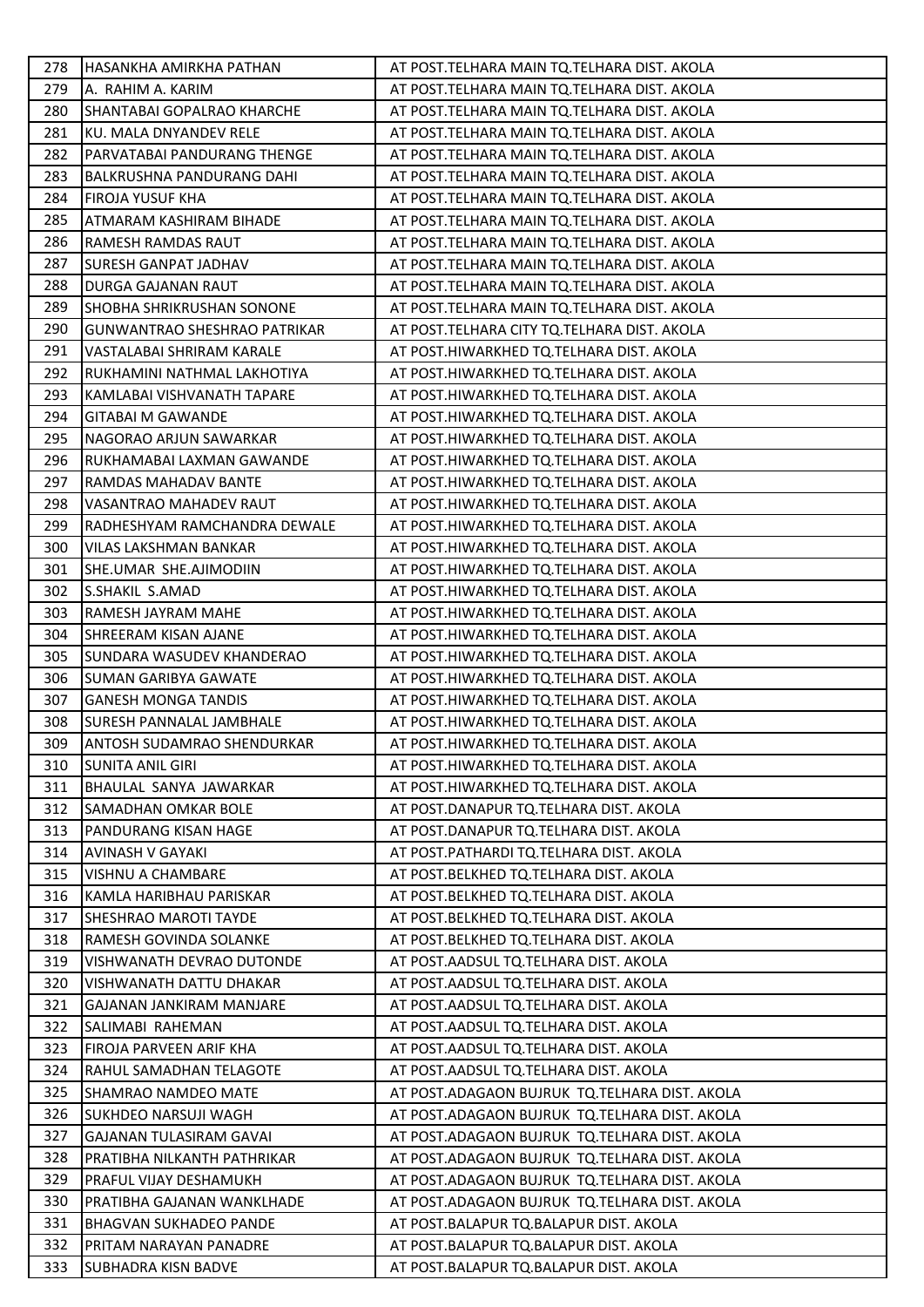| 278 | HASANKHA AMIRKHA PATHAN             | AT POST.TELHARA MAIN TQ.TELHARA DIST. AKOLA   |
|-----|-------------------------------------|-----------------------------------------------|
| 279 | A. RAHIM A. KARIM                   | AT POST. TELHARA MAIN TQ. TELHARA DIST. AKOLA |
| 280 | SHANTABAI GOPALRAO KHARCHE          | AT POST.TELHARA MAIN TQ.TELHARA DIST. AKOLA   |
| 281 | KU. MALA DNYANDEV RELE              | AT POST.TELHARA MAIN TQ.TELHARA DIST. AKOLA   |
| 282 | PARVATABAI PANDURANG THENGE         | AT POST.TELHARA MAIN TQ.TELHARA DIST. AKOLA   |
| 283 | <b>BALKRUSHNA PANDURANG DAHI</b>    | AT POST.TELHARA MAIN TQ.TELHARA DIST. AKOLA   |
| 284 | FIROJA YUSUF KHA                    | AT POST.TELHARA MAIN TQ.TELHARA DIST. AKOLA   |
| 285 | ATMARAM KASHIRAM BIHADE             | AT POST.TELHARA MAIN TQ.TELHARA DIST. AKOLA   |
| 286 | RAMESH RAMDAS RAUT                  | AT POST. TELHARA MAIN TQ. TELHARA DIST. AKOLA |
| 287 | SURESH GANPAT JADHAV                | AT POST.TELHARA MAIN TQ.TELHARA DIST. AKOLA   |
| 288 | DURGA GAJANAN RAUT                  | AT POST.TELHARA MAIN TQ.TELHARA DIST. AKOLA   |
| 289 | SHOBHA SHRIKRUSHAN SONONE           | AT POST.TELHARA MAIN TQ.TELHARA DIST. AKOLA   |
| 290 | <b>GUNWANTRAO SHESHRAO PATRIKAR</b> | AT POST.TELHARA CITY TQ.TELHARA DIST. AKOLA   |
| 291 | VASTALABAI SHRIRAM KARALE           | AT POST.HIWARKHED TQ.TELHARA DIST. AKOLA      |
| 292 | RUKHAMINI NATHMAL LAKHOTIYA         | AT POST.HIWARKHED TQ.TELHARA DIST. AKOLA      |
| 293 | KAMLABAI VISHVANATH TAPARE          | AT POST.HIWARKHED TQ.TELHARA DIST. AKOLA      |
| 294 | <b>GITABAI M GAWANDE</b>            | AT POST.HIWARKHED TQ.TELHARA DIST. AKOLA      |
| 295 | NAGORAO ARJUN SAWARKAR              | AT POST.HIWARKHED TQ.TELHARA DIST. AKOLA      |
| 296 | RUKHAMABAI LAXMAN GAWANDE           | AT POST.HIWARKHED TQ.TELHARA DIST. AKOLA      |
| 297 | RAMDAS MAHADAV BANTE                | AT POST.HIWARKHED TQ.TELHARA DIST. AKOLA      |
| 298 | VASANTRAO MAHADEV RAUT              | AT POST.HIWARKHED TQ.TELHARA DIST. AKOLA      |
| 299 | RADHESHYAM RAMCHANDRA DEWALE        | AT POST.HIWARKHED TQ.TELHARA DIST. AKOLA      |
| 300 | VILAS LAKSHMAN BANKAR               | AT POST.HIWARKHED TQ.TELHARA DIST. AKOLA      |
| 301 | SHE.UMAR SHE.AJIMODIIN              | AT POST.HIWARKHED TQ.TELHARA DIST. AKOLA      |
| 302 | S.SHAKIL S.AMAD                     | AT POST.HIWARKHED TQ.TELHARA DIST. AKOLA      |
| 303 | RAMESH JAYRAM MAHE                  | AT POST.HIWARKHED TQ.TELHARA DIST. AKOLA      |
| 304 | SHREERAM KISAN AJANE                | AT POST.HIWARKHED TQ.TELHARA DIST. AKOLA      |
| 305 | SUNDARA WASUDEV KHANDERAO           | AT POST.HIWARKHED TQ.TELHARA DIST. AKOLA      |
| 306 | SUMAN GARIBYA GAWATE                | AT POST.HIWARKHED TQ.TELHARA DIST. AKOLA      |
| 307 | <b>GANESH MONGA TANDIS</b>          | AT POST.HIWARKHED TQ.TELHARA DIST. AKOLA      |
| 308 | SURESH PANNALAL JAMBHALE            | AT POST.HIWARKHED TQ.TELHARA DIST. AKOLA      |
| 309 | ANTOSH SUDAMRAO SHENDURKAR          | AT POST.HIWARKHED TQ.TELHARA DIST. AKOLA      |
| 310 | <b>SUNITA ANIL GIRI</b>             | AT POST.HIWARKHED TQ.TELHARA DIST. AKOLA      |
| 311 | BHAULAL SANYA JAWARKAR              | AT POST.HIWARKHED TQ.TELHARA DIST. AKOLA      |
| 312 | SAMADHAN OMKAR BOLE                 | AT POST.DANAPUR TQ.TELHARA DIST. AKOLA        |
| 313 | PANDURANG KISAN HAGE                | AT POST.DANAPUR TQ.TELHARA DIST. AKOLA        |
| 314 | AVINASH V GAYAKI                    | AT POST.PATHARDI TQ.TELHARA DIST. AKOLA       |
| 315 | VISHNU A CHAMBARE                   | AT POST.BELKHED TQ.TELHARA DIST. AKOLA        |
| 316 | KAMLA HARIBHAU PARISKAR             | AT POST.BELKHED TQ.TELHARA DIST. AKOLA        |
| 317 | SHESHRAO MAROTI TAYDE               | AT POST.BELKHED TQ.TELHARA DIST. AKOLA        |
| 318 | RAMESH GOVINDA SOLANKE              | AT POST.BELKHED TQ.TELHARA DIST. AKOLA        |
| 319 | VISHWANATH DEVRAO DUTONDE           | AT POST.AADSUL TQ.TELHARA DIST. AKOLA         |
| 320 | VISHWANATH DATTU DHAKAR             | AT POST.AADSUL TQ.TELHARA DIST. AKOLA         |
| 321 | GAJANAN JANKIRAM MANJARE            | AT POST.AADSUL TQ.TELHARA DIST. AKOLA         |
| 322 | SALIMABI RAHEMAN                    | AT POST.AADSUL TQ.TELHARA DIST. AKOLA         |
| 323 | FIROJA PARVEEN ARIF KHA             | AT POST.AADSUL TQ.TELHARA DIST. AKOLA         |
| 324 | RAHUL SAMADHAN TELAGOTE             | AT POST.AADSUL TQ.TELHARA DIST. AKOLA         |
| 325 | SHAMRAO NAMDEO MATE                 | AT POST.ADAGAON BUJRUK TQ.TELHARA DIST. AKOLA |
| 326 | SUKHDEO NARSUJI WAGH                | AT POST.ADAGAON BUJRUK TQ.TELHARA DIST. AKOLA |
| 327 | <b>GAJANAN TULASIRAM GAVAI</b>      | AT POST.ADAGAON BUJRUK TQ.TELHARA DIST. AKOLA |
| 328 | PRATIBHA NILKANTH PATHRIKAR         | AT POST.ADAGAON BUJRUK TQ.TELHARA DIST. AKOLA |
| 329 | PRAFUL VIJAY DESHAMUKH              | AT POST.ADAGAON BUJRUK TQ.TELHARA DIST. AKOLA |
| 330 | PRATIBHA GAJANAN WANKLHADE          | AT POST.ADAGAON BUJRUK TQ.TELHARA DIST. AKOLA |
| 331 | <b>BHAGVAN SUKHADEO PANDE</b>       | AT POST.BALAPUR TQ.BALAPUR DIST. AKOLA        |
| 332 | PRITAM NARAYAN PANADRE              | AT POST.BALAPUR TQ.BALAPUR DIST. AKOLA        |
| 333 | SUBHADRA KISN BADVE                 | AT POST.BALAPUR TQ.BALAPUR DIST. AKOLA        |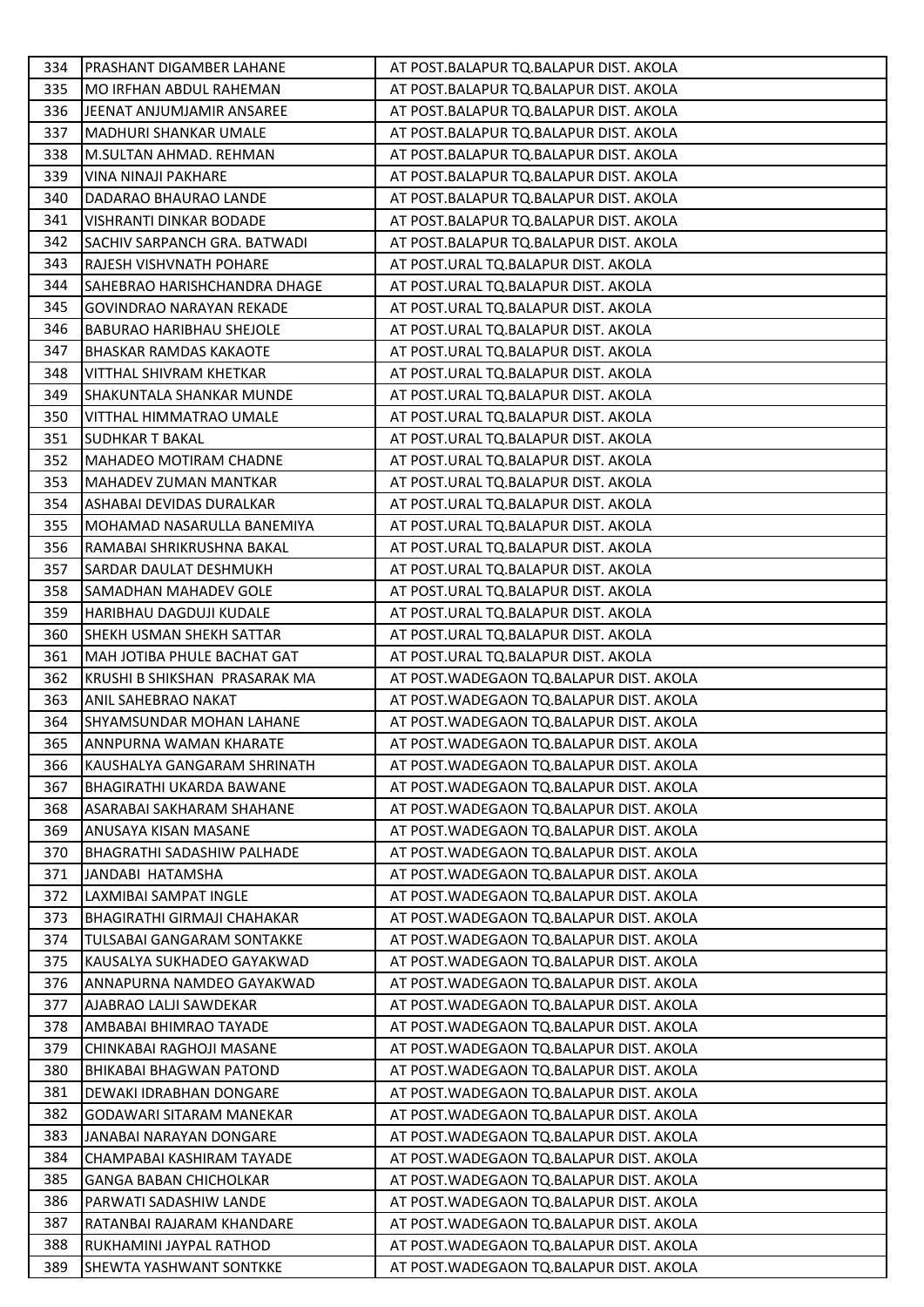| 334 | PRASHANT DIGAMBER LAHANE       | AT POST.BALAPUR TQ.BALAPUR DIST. AKOLA    |
|-----|--------------------------------|-------------------------------------------|
| 335 | MO IRFHAN ABDUL RAHEMAN        | AT POST.BALAPUR TQ.BALAPUR DIST. AKOLA    |
| 336 | JEENAT ANJUMJAMIR ANSAREE      | AT POST.BALAPUR TQ.BALAPUR DIST. AKOLA    |
| 337 | <b>MADHURI SHANKAR UMALE</b>   | AT POST.BALAPUR TQ.BALAPUR DIST. AKOLA    |
| 338 | M.SULTAN AHMAD. REHMAN         | AT POST.BALAPUR TQ.BALAPUR DIST. AKOLA    |
| 339 | VINA NINAJI PAKHARE            | AT POST.BALAPUR TQ.BALAPUR DIST. AKOLA    |
| 340 | DADARAO BHAURAO LANDE          | AT POST.BALAPUR TQ.BALAPUR DIST. AKOLA    |
| 341 | VISHRANTI DINKAR BODADE        | AT POST.BALAPUR TQ.BALAPUR DIST. AKOLA    |
| 342 | SACHIV SARPANCH GRA. BATWADI   | AT POST.BALAPUR TQ.BALAPUR DIST. AKOLA    |
| 343 | RAJESH VISHVNATH POHARE        | AT POST.URAL TQ.BALAPUR DIST. AKOLA       |
| 344 | SAHEBRAO HARISHCHANDRA DHAGE   | AT POST.URAL TQ.BALAPUR DIST. AKOLA       |
| 345 | GOVINDRAO NARAYAN REKADE       | AT POST.URAL TQ.BALAPUR DIST. AKOLA       |
| 346 | BABURAO HARIBHAU SHEJOLE       | AT POST.URAL TQ.BALAPUR DIST. AKOLA       |
| 347 | BHASKAR RAMDAS KAKAOTE         | AT POST.URAL TQ.BALAPUR DIST. AKOLA       |
| 348 | VITTHAL SHIVRAM KHETKAR        | AT POST.URAL TQ.BALAPUR DIST. AKOLA       |
| 349 | SHAKUNTALA SHANKAR MUNDE       | AT POST.URAL TQ.BALAPUR DIST. AKOLA       |
| 350 | <b>VITTHAL HIMMATRAO UMALE</b> | AT POST.URAL TQ.BALAPUR DIST. AKOLA       |
| 351 | SUDHKAR T BAKAL                | AT POST.URAL TQ.BALAPUR DIST. AKOLA       |
| 352 | MAHADEO MOTIRAM CHADNE         | AT POST.URAL TQ.BALAPUR DIST. AKOLA       |
| 353 | MAHADEV ZUMAN MANTKAR          | AT POST.URAL TQ.BALAPUR DIST. AKOLA       |
| 354 | ASHABAI DEVIDAS DURALKAR       | AT POST.URAL TQ.BALAPUR DIST. AKOLA       |
| 355 | MOHAMAD NASARULLA BANEMIYA     | AT POST.URAL TQ.BALAPUR DIST. AKOLA       |
| 356 | RAMABAI SHRIKRUSHNA BAKAL      | AT POST.URAL TQ.BALAPUR DIST. AKOLA       |
| 357 | SARDAR DAULAT DESHMUKH         | AT POST.URAL TQ.BALAPUR DIST. AKOLA       |
| 358 | SAMADHAN MAHADEV GOLE          | AT POST.URAL TQ.BALAPUR DIST. AKOLA       |
| 359 | HARIBHAU DAGDUJI KUDALE        | AT POST.URAL TQ.BALAPUR DIST. AKOLA       |
| 360 | SHEKH USMAN SHEKH SATTAR       | AT POST.URAL TQ.BALAPUR DIST. AKOLA       |
| 361 | MAH JOTIBA PHULE BACHAT GAT    | AT POST.URAL TQ.BALAPUR DIST. AKOLA       |
| 362 | KRUSHI B SHIKSHAN PRASARAK MA  | AT POST. WADEGAON TO. BALAPUR DIST. AKOLA |
| 363 | ANIL SAHEBRAO NAKAT            | AT POST. WADEGAON TQ. BALAPUR DIST. AKOLA |
| 364 | SHYAMSUNDAR MOHAN LAHANE       | AT POST. WADEGAON TQ. BALAPUR DIST. AKOLA |
| 365 | ANNPURNA WAMAN KHARATE         | AT POST. WADEGAON TQ. BALAPUR DIST. AKOLA |
| 366 | KAUSHALYA GANGARAM SHRINATH    | AT POST. WADEGAON TQ. BALAPUR DIST. AKOLA |
| 367 | BHAGIRATHI UKARDA BAWANE       | AT POST. WADEGAON TQ. BALAPUR DIST. AKOLA |
| 368 | ASARABAI SAKHARAM SHAHANE      | AT POST. WADEGAON TQ. BALAPUR DIST. AKOLA |
| 369 | ANUSAYA KISAN MASANE           | AT POST. WADEGAON TQ. BALAPUR DIST. AKOLA |
| 370 | BHAGRATHI SADASHIW PALHADE     | AT POST. WADEGAON TQ. BALAPUR DIST. AKOLA |
| 371 | JANDABI HATAMSHA               | AT POST. WADEGAON TQ. BALAPUR DIST. AKOLA |
| 372 | LAXMIBAI SAMPAT INGLE          | AT POST. WADEGAON TO. BALAPUR DIST. AKOLA |
| 373 | BHAGIRATHI GIRMAJI CHAHAKAR    | AT POST. WADEGAON TQ. BALAPUR DIST. AKOLA |
| 374 | TULSABAI GANGARAM SONTAKKE     | AT POST. WADEGAON TQ. BALAPUR DIST. AKOLA |
| 375 | KAUSALYA SUKHADEO GAYAKWAD     | AT POST. WADEGAON TQ. BALAPUR DIST. AKOLA |
| 376 | ANNAPURNA NAMDEO GAYAKWAD      | AT POST. WADEGAON TQ. BALAPUR DIST. AKOLA |
| 377 | AJABRAO LALJI SAWDEKAR         | AT POST. WADEGAON TQ. BALAPUR DIST. AKOLA |
| 378 | AMBABAI BHIMRAO TAYADE         | AT POST. WADEGAON TQ. BALAPUR DIST. AKOLA |
| 379 | CHINKABAI RAGHOJI MASANE       | AT POST. WADEGAON TQ. BALAPUR DIST. AKOLA |
| 380 | <b>BHIKABAI BHAGWAN PATOND</b> | AT POST. WADEGAON TQ. BALAPUR DIST. AKOLA |
| 381 | DEWAKI IDRABHAN DONGARE        | AT POST. WADEGAON TQ. BALAPUR DIST. AKOLA |
| 382 | GODAWARI SITARAM MANEKAR       | AT POST. WADEGAON TQ. BALAPUR DIST. AKOLA |
| 383 | JANABAI NARAYAN DONGARE        | AT POST. WADEGAON TQ. BALAPUR DIST. AKOLA |
| 384 | CHAMPABAI KASHIRAM TAYADE      | AT POST. WADEGAON TQ. BALAPUR DIST. AKOLA |
| 385 | <b>GANGA BABAN CHICHOLKAR</b>  | AT POST. WADEGAON TQ. BALAPUR DIST. AKOLA |
| 386 | PARWATI SADASHIW LANDE         | AT POST. WADEGAON TQ. BALAPUR DIST. AKOLA |
| 387 | RATANBAI RAJARAM KHANDARE      | AT POST. WADEGAON TQ. BALAPUR DIST. AKOLA |
| 388 | RUKHAMINI JAYPAL RATHOD        | AT POST. WADEGAON TQ. BALAPUR DIST. AKOLA |
| 389 | SHEWTA YASHWANT SONTKKE        | AT POST. WADEGAON TQ. BALAPUR DIST. AKOLA |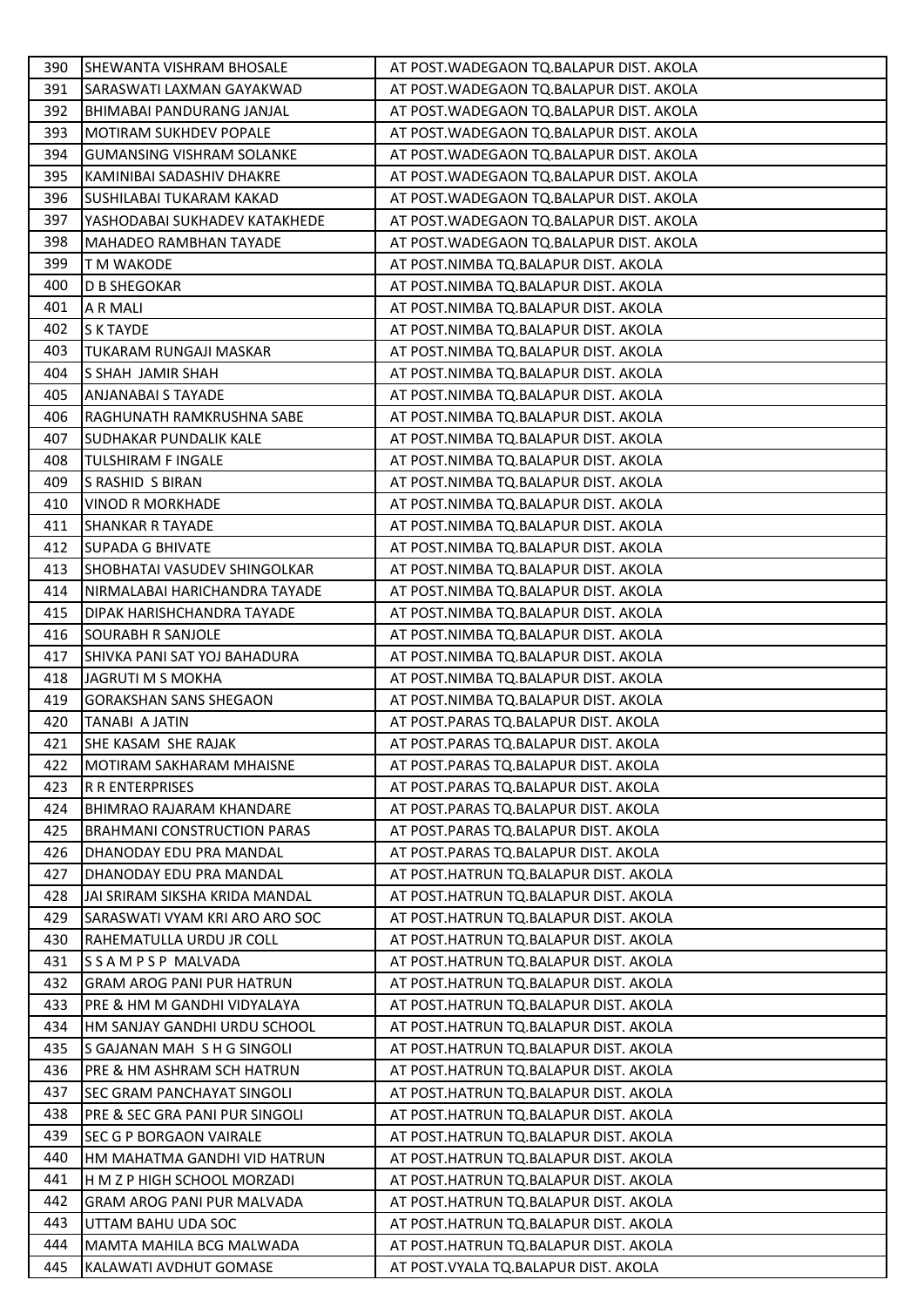| 390        | SHEWANTA VISHRAM BHOSALE                       | AT POST. WADEGAON TQ. BALAPUR DIST. AKOLA                                       |
|------------|------------------------------------------------|---------------------------------------------------------------------------------|
| 391        | SARASWATI LAXMAN GAYAKWAD                      | AT POST. WADEGAON TQ. BALAPUR DIST. AKOLA                                       |
| 392        | BHIMABAI PANDURANG JANJAL                      | AT POST. WADEGAON TQ. BALAPUR DIST. AKOLA                                       |
| 393        | <b>MOTIRAM SUKHDEV POPALE</b>                  | AT POST. WADEGAON TQ. BALAPUR DIST. AKOLA                                       |
| 394        | <b>GUMANSING VISHRAM SOLANKE</b>               | AT POST. WADEGAON TQ. BALAPUR DIST. AKOLA                                       |
| 395        | KAMINIBAI SADASHIV DHAKRE                      | AT POST. WADEGAON TQ. BALAPUR DIST. AKOLA                                       |
| 396        | SUSHILABAI TUKARAM KAKAD                       | AT POST. WADEGAON TQ. BALAPUR DIST. AKOLA                                       |
| 397        | YASHODABAI SUKHADEV KATAKHEDE                  | AT POST. WADEGAON TQ. BALAPUR DIST. AKOLA                                       |
| 398        | MAHADEO RAMBHAN TAYADE                         | AT POST. WADEGAON TQ. BALAPUR DIST. AKOLA                                       |
| 399        | T M WAKODE                                     | AT POST.NIMBA TQ.BALAPUR DIST. AKOLA                                            |
| 400        | D B SHEGOKAR                                   | AT POST.NIMBA TQ.BALAPUR DIST. AKOLA                                            |
| 401        | A R MALI                                       | AT POST.NIMBA TQ.BALAPUR DIST. AKOLA                                            |
| 402        | S K TAYDE                                      | AT POST.NIMBA TQ.BALAPUR DIST. AKOLA                                            |
| 403        | TUKARAM RUNGAJI MASKAR                         | AT POST.NIMBA TQ.BALAPUR DIST. AKOLA                                            |
| 404        | S SHAH JAMIR SHAH                              | AT POST.NIMBA TQ.BALAPUR DIST. AKOLA                                            |
| 405        | <b>ANJANABAI S TAYADE</b>                      | AT POST.NIMBA TQ.BALAPUR DIST. AKOLA                                            |
| 406        | RAGHUNATH RAMKRUSHNA SABE                      | AT POST.NIMBA TQ.BALAPUR DIST. AKOLA                                            |
| 407        | SUDHAKAR PUNDALIK KALE                         | AT POST.NIMBA TQ.BALAPUR DIST. AKOLA                                            |
| 408        | TULSHIRAM F INGALE                             | AT POST.NIMBA TQ.BALAPUR DIST. AKOLA                                            |
| 409        | S RASHID S BIRAN                               | AT POST.NIMBA TQ.BALAPUR DIST. AKOLA                                            |
| 410        | VINOD R MORKHADE                               | AT POST.NIMBA TQ.BALAPUR DIST. AKOLA                                            |
| 411        | <b>SHANKAR R TAYADE</b>                        | AT POST.NIMBA TQ.BALAPUR DIST. AKOLA                                            |
| 412        | <b>SUPADA G BHIVATE</b>                        | AT POST.NIMBA TQ.BALAPUR DIST. AKOLA                                            |
| 413        | SHOBHATAI VASUDEV SHINGOLKAR                   | AT POST.NIMBA TQ.BALAPUR DIST. AKOLA                                            |
| 414        | NIRMALABAI HARICHANDRA TAYADE                  | AT POST.NIMBA TQ.BALAPUR DIST. AKOLA                                            |
| 415        | DIPAK HARISHCHANDRA TAYADE                     | AT POST.NIMBA TQ.BALAPUR DIST. AKOLA                                            |
| 416        | SOURABH R SANJOLE                              | AT POST.NIMBA TQ.BALAPUR DIST. AKOLA                                            |
| 417        | SHIVKA PANI SAT YOJ BAHADURA                   | AT POST.NIMBA TQ.BALAPUR DIST. AKOLA                                            |
| 418        | JAGRUTI M S MOKHA                              | AT POST.NIMBA TQ.BALAPUR DIST. AKOLA                                            |
| 419        | <b>GORAKSHAN SANS SHEGAON</b>                  | AT POST.NIMBA TQ.BALAPUR DIST. AKOLA                                            |
| 420        | TANABI A JATIN                                 | AT POST.PARAS TQ.BALAPUR DIST. AKOLA                                            |
| 421        | SHE KASAM SHE RAJAK                            | AT POST.PARAS TQ.BALAPUR DIST. AKOLA                                            |
| 422        | <b>MOTIRAM SAKHARAM MHAISNE</b>                | AT POST.PARAS TQ.BALAPUR DIST. AKOLA                                            |
| 423        | R R ENTERPRISES                                | AT POST.PARAS TQ.BALAPUR DIST. AKOLA                                            |
| 424        | BHIMRAO RAJARAM KHANDARE                       | AT POST.PARAS TQ.BALAPUR DIST. AKOLA                                            |
| 425        | <b>BRAHMANI CONSTRUCTION PARAS</b>             | AT POST.PARAS TQ.BALAPUR DIST. AKOLA                                            |
| 426        | DHANODAY EDU PRA MANDAL                        | AT POST.PARAS TQ.BALAPUR DIST. AKOLA                                            |
| 427        | DHANODAY EDU PRA MANDAL                        | AT POST.HATRUN TQ.BALAPUR DIST. AKOLA                                           |
| 428        | JAI SRIRAM SIKSHA KRIDA MANDAL                 | AT POST.HATRUN TQ.BALAPUR DIST. AKOLA                                           |
| 429        | SARASWATI VYAM KRI ARO ARO SOC                 | AT POST.HATRUN TQ.BALAPUR DIST. AKOLA                                           |
| 430        | RAHEMATULLA URDU JR COLL                       | AT POST.HATRUN TQ.BALAPUR DIST. AKOLA                                           |
| 431        | SSAMPSP MALVADA                                | AT POST.HATRUN TQ.BALAPUR DIST. AKOLA                                           |
| 432        | <b>GRAM AROG PANI PUR HATRUN</b>               | AT POST.HATRUN TQ.BALAPUR DIST. AKOLA                                           |
| 433        | PRE & HM M GANDHI VIDYALAYA                    | AT POST.HATRUN TQ.BALAPUR DIST. AKOLA                                           |
| 434        | HM SANJAY GANDHI URDU SCHOOL                   | AT POST.HATRUN TQ.BALAPUR DIST. AKOLA                                           |
| 435        | S GAJANAN MAH S H G SINGOLI                    | AT POST.HATRUN TQ.BALAPUR DIST. AKOLA                                           |
| 436        | PRE & HM ASHRAM SCH HATRUN                     | AT POST.HATRUN TQ.BALAPUR DIST. AKOLA                                           |
| 437        | SEC GRAM PANCHAYAT SINGOLI                     | AT POST.HATRUN TQ.BALAPUR DIST. AKOLA                                           |
| 438        | PRE & SEC GRA PANI PUR SINGOLI                 | AT POST.HATRUN TQ.BALAPUR DIST. AKOLA                                           |
| 439        | SEC G P BORGAON VAIRALE                        | AT POST.HATRUN TQ.BALAPUR DIST. AKOLA                                           |
| 440        | HM MAHATMA GANDHI VID HATRUN                   | AT POST.HATRUN TQ.BALAPUR DIST. AKOLA                                           |
| 441        | H M Z P HIGH SCHOOL MORZADI                    | AT POST.HATRUN TQ.BALAPUR DIST. AKOLA                                           |
| 442        | <b>GRAM AROG PANI PUR MALVADA</b>              | AT POST.HATRUN TQ.BALAPUR DIST. AKOLA                                           |
| 443<br>444 | UTTAM BAHU UDA SOC<br>MAMTA MAHILA BCG MALWADA | AT POST.HATRUN TQ.BALAPUR DIST. AKOLA                                           |
| 445        | KALAWATI AVDHUT GOMASE                         | AT POST.HATRUN TQ.BALAPUR DIST. AKOLA<br>AT POST. VYALA TQ. BALAPUR DIST. AKOLA |
|            |                                                |                                                                                 |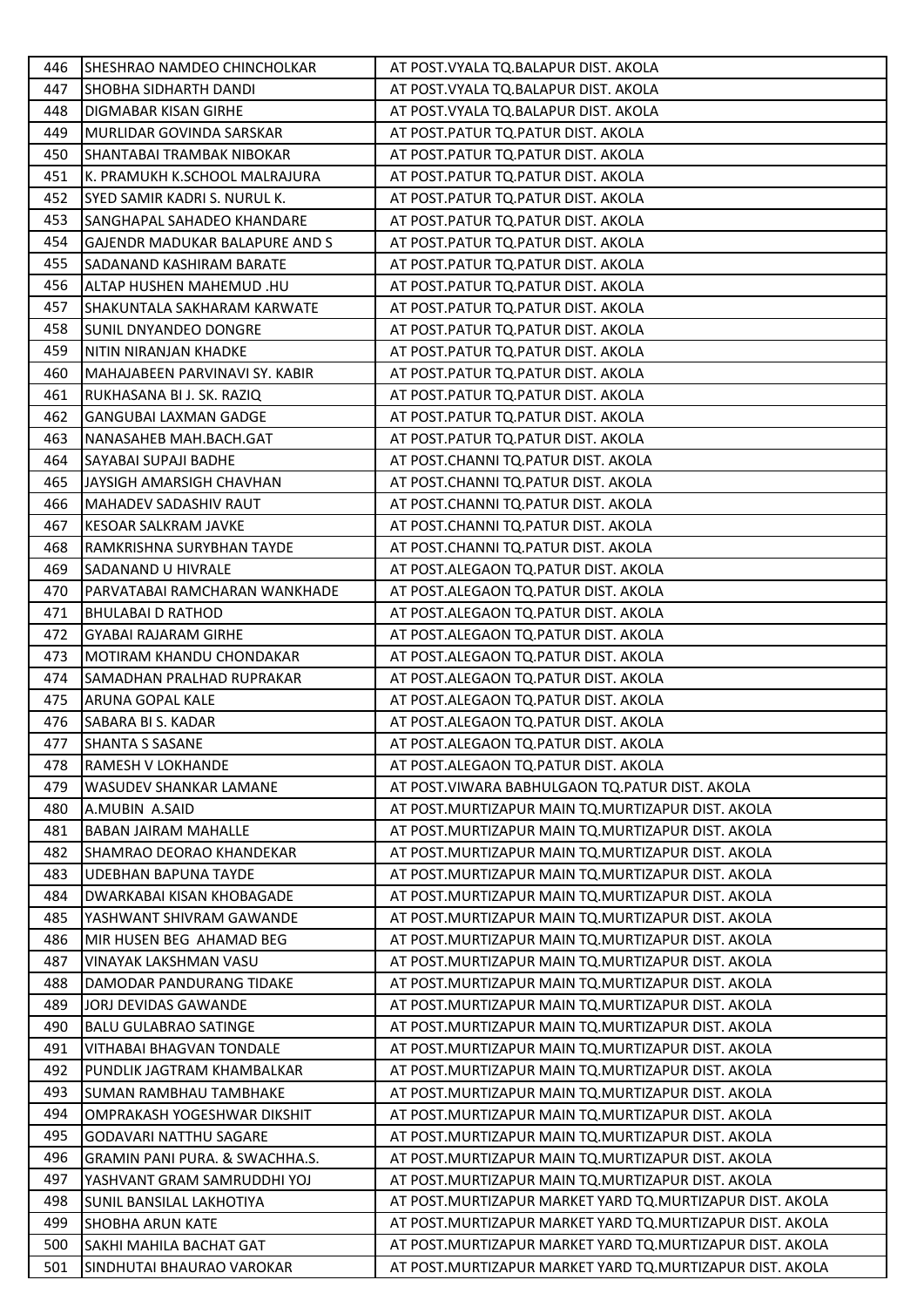| 446 | SHESHRAO NAMDEO CHINCHOLKAR    | AT POST. VYALA TQ. BALAPUR DIST. AKOLA                   |
|-----|--------------------------------|----------------------------------------------------------|
| 447 | SHOBHA SIDHARTH DANDI          | AT POST. VYALA TQ. BALAPUR DIST. AKOLA                   |
| 448 | DIGMABAR KISAN GIRHE           | AT POST. VYALA TQ. BALAPUR DIST. AKOLA                   |
| 449 | MURLIDAR GOVINDA SARSKAR       | AT POST.PATUR TQ.PATUR DIST. AKOLA                       |
| 450 | SHANTABAI TRAMBAK NIBOKAR      | AT POST.PATUR TQ.PATUR DIST. AKOLA                       |
| 451 | K. PRAMUKH K.SCHOOL MALRAJURA  | AT POST.PATUR TQ.PATUR DIST. AKOLA                       |
| 452 | SYED SAMIR KADRI S. NURUL K.   | AT POST.PATUR TQ.PATUR DIST. AKOLA                       |
| 453 | SANGHAPAL SAHADEO KHANDARE     | AT POST.PATUR TQ.PATUR DIST. AKOLA                       |
| 454 | GAJENDR MADUKAR BALAPURE AND S | AT POST.PATUR TQ.PATUR DIST. AKOLA                       |
| 455 | SADANAND KASHIRAM BARATE       | AT POST.PATUR TQ.PATUR DIST. AKOLA                       |
| 456 | ALTAP HUSHEN MAHEMUD .HU       | AT POST.PATUR TQ.PATUR DIST. AKOLA                       |
| 457 | SHAKUNTALA SAKHARAM KARWATE    | AT POST.PATUR TQ.PATUR DIST. AKOLA                       |
| 458 | SUNIL DNYANDEO DONGRE          | AT POST.PATUR TQ.PATUR DIST. AKOLA                       |
| 459 | NITIN NIRANJAN KHADKE          | AT POST.PATUR TQ.PATUR DIST. AKOLA                       |
| 460 | MAHAJABEEN PARVINAVI SY. KABIR | AT POST.PATUR TQ.PATUR DIST. AKOLA                       |
| 461 | RUKHASANA BI J. SK. RAZIQ      | AT POST.PATUR TQ.PATUR DIST. AKOLA                       |
| 462 | <b>GANGUBAI LAXMAN GADGE</b>   | AT POST.PATUR TQ.PATUR DIST. AKOLA                       |
| 463 | NANASAHEB MAH.BACH.GAT         | AT POST.PATUR TQ.PATUR DIST. AKOLA                       |
| 464 | SAYABAI SUPAJI BADHE           | AT POST.CHANNI TQ.PATUR DIST. AKOLA                      |
| 465 | JAYSIGH AMARSIGH CHAVHAN       | AT POST.CHANNI TQ.PATUR DIST. AKOLA                      |
| 466 | <b>MAHADEV SADASHIV RAUT</b>   | AT POST.CHANNI TQ.PATUR DIST. AKOLA                      |
| 467 | KESOAR SALKRAM JAVKE           | AT POST.CHANNI TQ.PATUR DIST. AKOLA                      |
| 468 | RAMKRISHNA SURYBHAN TAYDE      | AT POST.CHANNI TQ.PATUR DIST. AKOLA                      |
| 469 | SADANAND U HIVRALE             | AT POST.ALEGAON TQ.PATUR DIST. AKOLA                     |
| 470 | PARVATABAI RAMCHARAN WANKHADE  | AT POST.ALEGAON TQ.PATUR DIST. AKOLA                     |
| 471 | <b>BHULABAI D RATHOD</b>       | AT POST.ALEGAON TQ.PATUR DIST. AKOLA                     |
| 472 | <b>GYABAI RAJARAM GIRHE</b>    | AT POST.ALEGAON TQ.PATUR DIST. AKOLA                     |
| 473 | MOTIRAM KHANDU CHONDAKAR       | AT POST.ALEGAON TQ.PATUR DIST. AKOLA                     |
| 474 | SAMADHAN PRALHAD RUPRAKAR      | AT POST.ALEGAON TQ.PATUR DIST. AKOLA                     |
| 475 | ARUNA GOPAL KALE               | AT POST.ALEGAON TQ.PATUR DIST. AKOLA                     |
| 476 | SABARA BI S. KADAR             | AT POST.ALEGAON TQ.PATUR DIST. AKOLA                     |
| 477 | <b>SHANTA S SASANE</b>         | AT POST.ALEGAON TQ.PATUR DIST. AKOLA                     |
| 478 | RAMESH V LOKHANDE              | AT POST.ALEGAON TQ.PATUR DIST. AKOLA                     |
| 479 | WASUDEV SHANKAR LAMANE         | AT POST. VIWARA BABHULGAON TQ. PATUR DIST. AKOLA         |
| 480 | A.MUBIN A.SAID                 | AT POST. MURTIZAPUR MAIN TO. MURTIZAPUR DIST. AKOLA      |
| 481 | <b>BABAN JAIRAM MAHALLE</b>    | AT POST. MURTIZAPUR MAIN TQ. MURTIZAPUR DIST. AKOLA      |
| 482 | SHAMRAO DEORAO KHANDEKAR       | AT POST. MURTIZAPUR MAIN TQ. MURTIZAPUR DIST. AKOLA      |
| 483 | <b>UDEBHAN BAPUNA TAYDE</b>    | AT POST.MURTIZAPUR MAIN TO.MURTIZAPUR DIST. AKOLA        |
| 484 | DWARKABAI KISAN KHOBAGADE      | AT POST.MURTIZAPUR MAIN TQ.MURTIZAPUR DIST. AKOLA        |
| 485 | YASHWANT SHIVRAM GAWANDE       | AT POST. MURTIZAPUR MAIN TQ. MURTIZAPUR DIST. AKOLA      |
| 486 | MIR HUSEN BEG AHAMAD BEG       | AT POST.MURTIZAPUR MAIN TQ.MURTIZAPUR DIST. AKOLA        |
| 487 | VINAYAK LAKSHMAN VASU          | AT POST.MURTIZAPUR MAIN TQ.MURTIZAPUR DIST. AKOLA        |
| 488 | DAMODAR PANDURANG TIDAKE       | AT POST. MURTIZAPUR MAIN TQ. MURTIZAPUR DIST. AKOLA      |
| 489 | JORJ DEVIDAS GAWANDE           | AT POST.MURTIZAPUR MAIN TQ.MURTIZAPUR DIST. AKOLA        |
| 490 | <b>BALU GULABRAO SATINGE</b>   | AT POST.MURTIZAPUR MAIN TQ.MURTIZAPUR DIST. AKOLA        |
| 491 | VITHABAI BHAGVAN TONDALE       | AT POST.MURTIZAPUR MAIN TQ.MURTIZAPUR DIST. AKOLA        |
| 492 | PUNDLIK JAGTRAM KHAMBALKAR     | AT POST.MURTIZAPUR MAIN TQ.MURTIZAPUR DIST. AKOLA        |
| 493 | SUMAN RAMBHAU TAMBHAKE         | AT POST.MURTIZAPUR MAIN TQ.MURTIZAPUR DIST. AKOLA        |
| 494 | OMPRAKASH YOGESHWAR DIKSHIT    | AT POST.MURTIZAPUR MAIN TQ.MURTIZAPUR DIST. AKOLA        |
| 495 | <b>GODAVARI NATTHU SAGARE</b>  | AT POST.MURTIZAPUR MAIN TQ.MURTIZAPUR DIST. AKOLA        |
| 496 | GRAMIN PANI PURA. & SWACHHA.S. | AT POST.MURTIZAPUR MAIN TQ.MURTIZAPUR DIST. AKOLA        |
| 497 | YASHVANT GRAM SAMRUDDHI YOJ    | AT POST.MURTIZAPUR MAIN TQ.MURTIZAPUR DIST. AKOLA        |
| 498 | SUNIL BANSILAL LAKHOTIYA       | AT POST.MURTIZAPUR MARKET YARD TQ.MURTIZAPUR DIST. AKOLA |
| 499 | <b>SHOBHA ARUN KATE</b>        | AT POST.MURTIZAPUR MARKET YARD TQ.MURTIZAPUR DIST. AKOLA |
| 500 | SAKHI MAHILA BACHAT GAT        | AT POST.MURTIZAPUR MARKET YARD TQ.MURTIZAPUR DIST. AKOLA |
| 501 | SINDHUTAI BHAURAO VAROKAR      | AT POST.MURTIZAPUR MARKET YARD TQ.MURTIZAPUR DIST. AKOLA |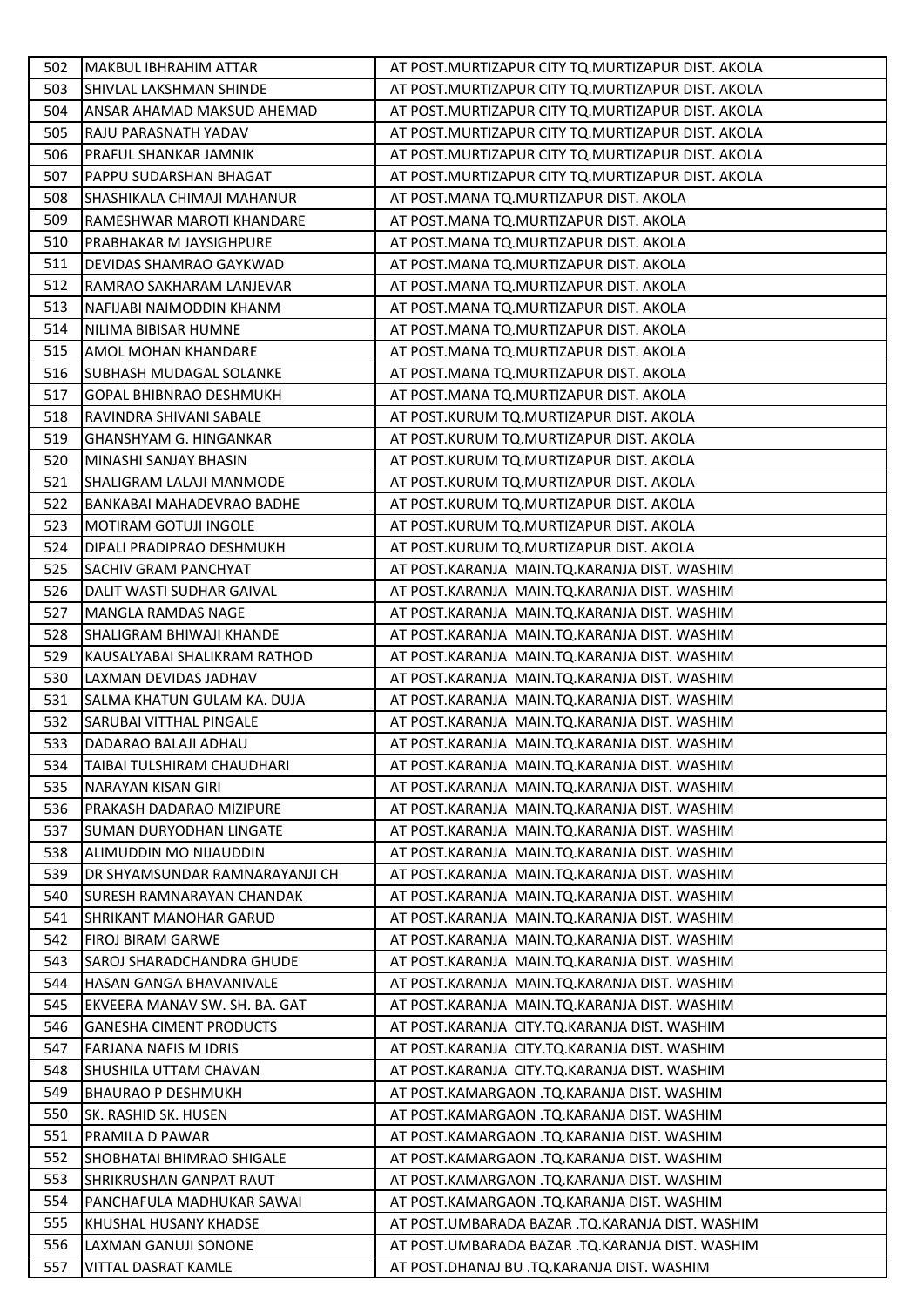| 502 | <b>MAKBUL IBHRAHIM ATTAR</b>    | AT POST. MURTIZAPUR CITY TO. MURTIZAPUR DIST. AKOLA |
|-----|---------------------------------|-----------------------------------------------------|
| 503 | SHIVLAL LAKSHMAN SHINDE         | AT POST. MURTIZAPUR CITY TQ. MURTIZAPUR DIST. AKOLA |
| 504 | ANSAR AHAMAD MAKSUD AHEMAD      | AT POST. MURTIZAPUR CITY TO. MURTIZAPUR DIST. AKOLA |
| 505 | RAJU PARASNATH YADAV            | AT POST. MURTIZAPUR CITY TQ. MURTIZAPUR DIST. AKOLA |
| 506 | PRAFUL SHANKAR JAMNIK           | AT POST. MURTIZAPUR CITY TQ. MURTIZAPUR DIST. AKOLA |
| 507 | PAPPU SUDARSHAN BHAGAT          | AT POST.MURTIZAPUR CITY TQ.MURTIZAPUR DIST. AKOLA   |
| 508 | SHASHIKALA CHIMAJI MAHANUR      | AT POST.MANA TQ.MURTIZAPUR DIST. AKOLA              |
| 509 | RAMESHWAR MAROTI KHANDARE       | AT POST.MANA TQ.MURTIZAPUR DIST. AKOLA              |
| 510 | PRABHAKAR M JAYSIGHPURE         | AT POST.MANA TQ.MURTIZAPUR DIST. AKOLA              |
| 511 | DEVIDAS SHAMRAO GAYKWAD         | AT POST.MANA TQ.MURTIZAPUR DIST. AKOLA              |
| 512 | RAMRAO SAKHARAM LANJEVAR        | AT POST.MANA TQ.MURTIZAPUR DIST. AKOLA              |
| 513 | NAFIJABI NAIMODDIN KHANM        | AT POST.MANA TQ.MURTIZAPUR DIST. AKOLA              |
| 514 | NILIMA BIBISAR HUMNE            | AT POST.MANA TQ.MURTIZAPUR DIST. AKOLA              |
| 515 | AMOL MOHAN KHANDARE             | AT POST.MANA TQ.MURTIZAPUR DIST. AKOLA              |
| 516 | SUBHASH MUDAGAL SOLANKE         | AT POST.MANA TQ.MURTIZAPUR DIST. AKOLA              |
| 517 | <b>GOPAL BHIBNRAO DESHMUKH</b>  | AT POST.MANA TQ.MURTIZAPUR DIST. AKOLA              |
| 518 | RAVINDRA SHIVANI SABALE         | AT POST.KURUM TQ.MURTIZAPUR DIST. AKOLA             |
| 519 | <b>GHANSHYAM G. HINGANKAR</b>   | AT POST.KURUM TQ.MURTIZAPUR DIST. AKOLA             |
| 520 | MINASHI SANJAY BHASIN           | AT POST.KURUM TQ.MURTIZAPUR DIST. AKOLA             |
| 521 | SHALIGRAM LALAJI MANMODE        | AT POST.KURUM TQ.MURTIZAPUR DIST. AKOLA             |
| 522 | BANKABAI MAHADEVRAO BADHE       | AT POST.KURUM TQ.MURTIZAPUR DIST. AKOLA             |
| 523 | MOTIRAM GOTUJI INGOLE           | AT POST.KURUM TQ.MURTIZAPUR DIST. AKOLA             |
| 524 | DIPALI PRADIPRAO DESHMUKH       | AT POST.KURUM TQ.MURTIZAPUR DIST. AKOLA             |
| 525 | SACHIV GRAM PANCHYAT            | AT POST.KARANJA MAIN.TQ.KARANJA DIST. WASHIM        |
| 526 | DALIT WASTI SUDHAR GAIVAL       | AT POST.KARANJA MAIN.TQ.KARANJA DIST. WASHIM        |
| 527 | <b>MANGLA RAMDAS NAGE</b>       | AT POST.KARANJA MAIN.TQ.KARANJA DIST. WASHIM        |
| 528 | SHALIGRAM BHIWAJI KHANDE        | AT POST.KARANJA MAIN.TQ.KARANJA DIST. WASHIM        |
| 529 | KAUSALYABAI SHALIKRAM RATHOD    | AT POST.KARANJA MAIN.TQ.KARANJA DIST. WASHIM        |
| 530 | LAXMAN DEVIDAS JADHAV           | AT POST.KARANJA MAIN.TQ.KARANJA DIST. WASHIM        |
| 531 | SALMA KHATUN GULAM KA. DUJA     | AT POST.KARANJA MAIN.TQ.KARANJA DIST. WASHIM        |
| 532 | SARUBAI VITTHAL PINGALE         | AT POST.KARANJA MAIN.TQ.KARANJA DIST. WASHIM        |
| 533 | DADARAO BALAJI ADHAU            | AT POST.KARANJA MAIN.TQ.KARANJA DIST. WASHIM        |
| 534 | TAIBAI TULSHIRAM CHAUDHARI      | AT POST.KARANJA MAIN.TO.KARANJA DIST. WASHIM        |
| 535 | <b>NARAYAN KISAN GIRI</b>       | AT POST.KARANJA MAIN.TQ.KARANJA DIST. WASHIM        |
| 536 | <b>PRAKASH DADARAO MIZIPURE</b> | AT POST.KARANJA MAIN.TQ.KARANJA DIST. WASHIM        |
| 537 | SUMAN DURYODHAN LINGATE         | AT POST.KARANJA MAIN.TQ.KARANJA DIST. WASHIM        |
| 538 | ALIMUDDIN MO NIJAUDDIN          | AT POST.KARANJA MAIN.TQ.KARANJA DIST. WASHIM        |
| 539 | DR SHYAMSUNDAR RAMNARAYANJI CH  | AT POST.KARANJA MAIN.TQ.KARANJA DIST. WASHIM        |
| 540 | ISURESH RAMNARAYAN CHANDAK      | AT POST.KARANJA MAIN.TQ.KARANJA DIST. WASHIM        |
| 541 | <b>SHRIKANT MANOHAR GARUD</b>   | AT POST.KARANJA MAIN.TQ.KARANJA DIST. WASHIM        |
| 542 | <b>FIROJ BIRAM GARWE</b>        | AT POST.KARANJA MAIN.TQ.KARANJA DIST. WASHIM        |
| 543 | SAROJ SHARADCHANDRA GHUDE       | AT POST.KARANJA MAIN.TQ.KARANJA DIST. WASHIM        |
| 544 | HASAN GANGA BHAVANIVALE         | AT POST.KARANJA MAIN.TQ.KARANJA DIST. WASHIM        |
| 545 | EKVEERA MANAV SW. SH. BA. GAT   | AT POST.KARANJA MAIN.TQ.KARANJA DIST. WASHIM        |
| 546 | <b>GANESHA CIMENT PRODUCTS</b>  | AT POST.KARANJA CITY.TQ.KARANJA DIST. WASHIM        |
| 547 | <b>FARJANA NAFIS M IDRIS</b>    | AT POST.KARANJA CITY.TQ.KARANJA DIST. WASHIM        |
| 548 | SHUSHILA UTTAM CHAVAN           | AT POST.KARANJA CITY.TQ.KARANJA DIST. WASHIM        |
| 549 | <b>BHAURAO P DESHMUKH</b>       | AT POST.KAMARGAON .TQ.KARANJA DIST. WASHIM          |
| 550 | SK. RASHID SK. HUSEN            | AT POST.KAMARGAON .TQ.KARANJA DIST. WASHIM          |
| 551 | PRAMILA D PAWAR                 | AT POST.KAMARGAON .TQ.KARANJA DIST. WASHIM          |
| 552 | SHOBHATAI BHIMRAO SHIGALE       | AT POST.KAMARGAON .TQ.KARANJA DIST. WASHIM          |
| 553 | SHRIKRUSHAN GANPAT RAUT         | AT POST.KAMARGAON .TQ.KARANJA DIST. WASHIM          |
| 554 | PANCHAFULA MADHUKAR SAWAI       | AT POST.KAMARGAON .TQ.KARANJA DIST. WASHIM          |
| 555 | KHUSHAL HUSANY KHADSE           | AT POST.UMBARADA BAZAR .TQ.KARANJA DIST. WASHIM     |
| 556 | LAXMAN GANUJI SONONE            | AT POST.UMBARADA BAZAR .TQ.KARANJA DIST. WASHIM     |
| 557 | VITTAL DASRAT KAMLE             | AT POST.DHANAJ BU .TQ.KARANJA DIST. WASHIM          |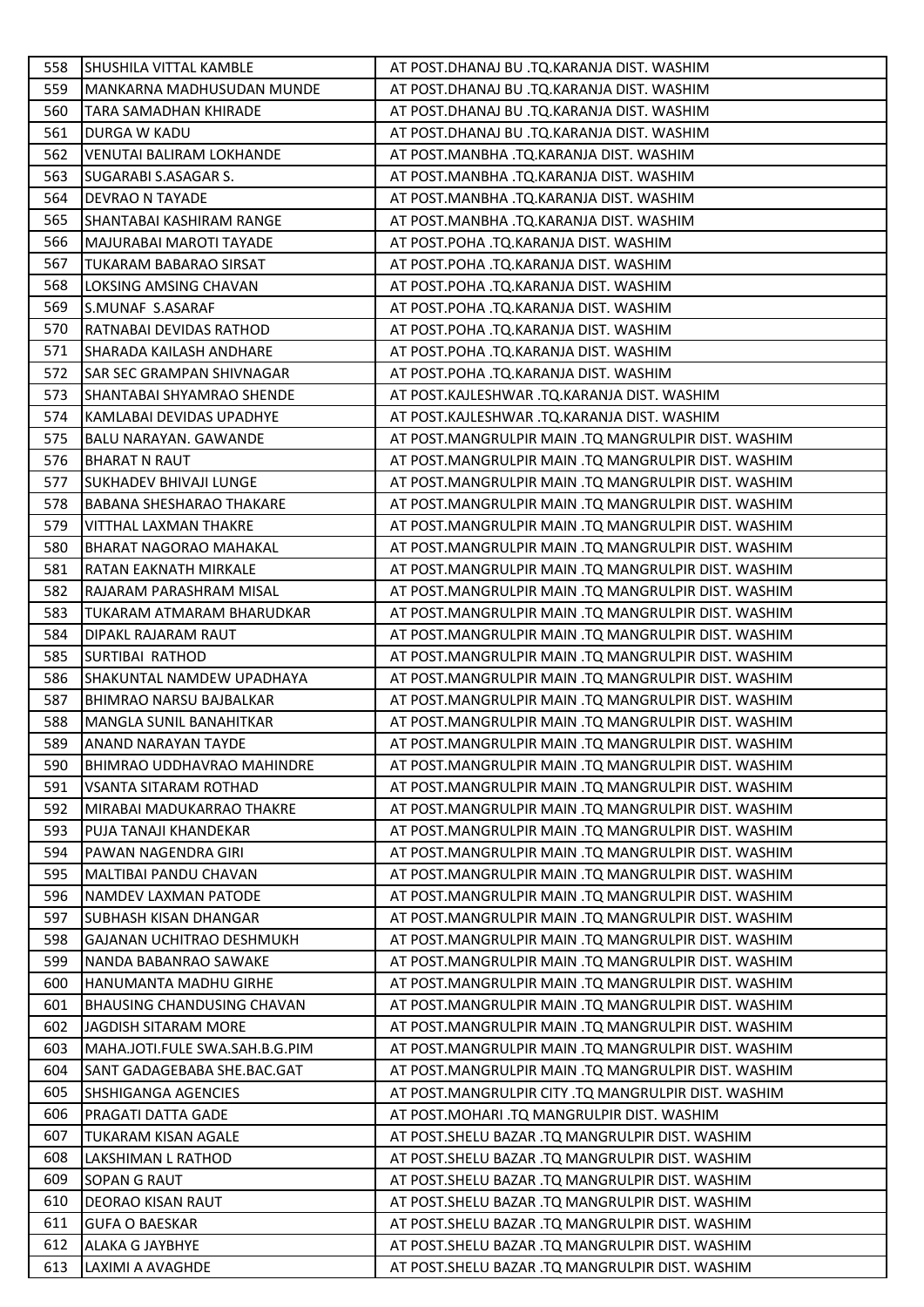| 558        | SHUSHILA VITTAL KAMBLE            | AT POST.DHANAJ BU .TQ.KARANJA DIST. WASHIM          |
|------------|-----------------------------------|-----------------------------------------------------|
| 559        | MANKARNA MADHUSUDAN MUNDE         | AT POST.DHANAJ BU .TQ.KARANJA DIST. WASHIM          |
| 560        | TARA SAMADHAN KHIRADE             | AT POST.DHANAJ BU .TQ.KARANJA DIST. WASHIM          |
| 561        | DURGA W KADU                      | AT POST.DHANAJ BU .TQ.KARANJA DIST. WASHIM          |
| 562        | VENUTAI BALIRAM LOKHANDE          | AT POST.MANBHA .TQ.KARANJA DIST. WASHIM             |
| 563        | SUGARABI S.ASAGAR S.              | AT POST.MANBHA .TQ.KARANJA DIST. WASHIM             |
| 564        | DEVRAO N TAYADE                   | AT POST.MANBHA .TQ.KARANJA DIST. WASHIM             |
| 565        | SHANTABAI KASHIRAM RANGE          | AT POST.MANBHA .TQ.KARANJA DIST. WASHIM             |
| 566        | MAJURABAI MAROTI TAYADE           | AT POST.POHA .TQ.KARANJA DIST. WASHIM               |
| 567        | <b>TUKARAM BABARAO SIRSAT</b>     | AT POST.POHA .TQ.KARANJA DIST. WASHIM               |
| 568        | LOKSING AMSING CHAVAN             | AT POST.POHA .TQ.KARANJA DIST. WASHIM               |
| 569        | S.MUNAF S.ASARAF                  | AT POST.POHA .TQ.KARANJA DIST. WASHIM               |
| 570        | RATNABAI DEVIDAS RATHOD           | AT POST.POHA .TQ.KARANJA DIST. WASHIM               |
| 571        | SHARADA KAILASH ANDHARE           | AT POST.POHA .TQ.KARANJA DIST. WASHIM               |
| 572        | <b>SAR SEC GRAMPAN SHIVNAGAR</b>  | AT POST.POHA .TQ.KARANJA DIST. WASHIM               |
| 573        | SHANTABAI SHYAMRAO SHENDE         | AT POST.KAJLESHWAR .TQ.KARANJA DIST. WASHIM         |
| 574        | KAMLABAI DEVIDAS UPADHYE          | AT POST.KAJLESHWAR .TQ.KARANJA DIST. WASHIM         |
| 575        | BALU NARAYAN. GAWANDE             | AT POST.MANGRULPIR MAIN .TQ MANGRULPIR DIST. WASHIM |
| 576        | <b>BHARAT N RAUT</b>              | AT POST.MANGRULPIR MAIN .TQ MANGRULPIR DIST. WASHIM |
| 577        | <b>SUKHADEV BHIVAJI LUNGE</b>     | AT POST.MANGRULPIR MAIN .TQ MANGRULPIR DIST. WASHIM |
| 578        | <b>BABANA SHESHARAO THAKARE</b>   | AT POST.MANGRULPIR MAIN .TQ MANGRULPIR DIST. WASHIM |
| 579        | VITTHAL LAXMAN THAKRE             | AT POST.MANGRULPIR MAIN .TQ MANGRULPIR DIST. WASHIM |
| 580        | BHARAT NAGORAO MAHAKAL            | AT POST.MANGRULPIR MAIN .TQ MANGRULPIR DIST. WASHIM |
| 581        | RATAN EAKNATH MIRKALE             | AT POST.MANGRULPIR MAIN .TQ MANGRULPIR DIST. WASHIM |
| 582        | RAJARAM PARASHRAM MISAL           | AT POST.MANGRULPIR MAIN .TQ MANGRULPIR DIST. WASHIM |
| 583        | TUKARAM ATMARAM BHARUDKAR         | AT POST.MANGRULPIR MAIN .TQ MANGRULPIR DIST. WASHIM |
| 584        | DIPAKL RAJARAM RAUT               | AT POST.MANGRULPIR MAIN .TQ MANGRULPIR DIST. WASHIM |
| 585        | <b>SURTIBAI RATHOD</b>            | AT POST.MANGRULPIR MAIN .TQ MANGRULPIR DIST. WASHIM |
| 586        | SHAKUNTAL NAMDEW UPADHAYA         | AT POST.MANGRULPIR MAIN .TQ MANGRULPIR DIST. WASHIM |
| 587        | BHIMRAO NARSU BAJBALKAR           | AT POST.MANGRULPIR MAIN .TQ MANGRULPIR DIST. WASHIM |
| 588        | MANGLA SUNIL BANAHITKAR           | AT POST.MANGRULPIR MAIN .TQ MANGRULPIR DIST. WASHIM |
| 589        | <b>ANAND NARAYAN TAYDE</b>        | AT POST.MANGRULPIR MAIN .TQ MANGRULPIR DIST. WASHIM |
| 590        | <b>BHIMRAO UDDHAVRAO MAHINDRE</b> | AT POST.MANGRULPIR MAIN .TO MANGRULPIR DIST. WASHIM |
| 591        | VSANTA SITARAM ROTHAD             | AT POST.MANGRULPIR MAIN .TQ MANGRULPIR DIST. WASHIM |
| 592        | MIRABAI MADUKARRAO THAKRE         | AT POST.MANGRULPIR MAIN .TQ MANGRULPIR DIST. WASHIM |
| 593        | PUJA TANAJI KHANDEKAR             | AT POST.MANGRULPIR MAIN .TQ MANGRULPIR DIST. WASHIM |
| 594        | PAWAN NAGENDRA GIRI               | AT POST.MANGRULPIR MAIN .TQ MANGRULPIR DIST. WASHIM |
| 595        | <b>MALTIBAI PANDU CHAVAN</b>      | AT POST.MANGRULPIR MAIN .TQ MANGRULPIR DIST. WASHIM |
| 596        | NAMDEV LAXMAN PATODE              | AT POST.MANGRULPIR MAIN .TQ MANGRULPIR DIST. WASHIM |
| 597        | SUBHASH KISAN DHANGAR             | AT POST.MANGRULPIR MAIN .TQ MANGRULPIR DIST. WASHIM |
| 598        | GAJANAN UCHITRAO DESHMUKH         | AT POST.MANGRULPIR MAIN .TQ MANGRULPIR DIST. WASHIM |
| 599        | NANDA BABANRAO SAWAKE             | AT POST.MANGRULPIR MAIN .TQ MANGRULPIR DIST. WASHIM |
| 600        | HANUMANTA MADHU GIRHE             | AT POST.MANGRULPIR MAIN .TQ MANGRULPIR DIST. WASHIM |
| 601        | <b>BHAUSING CHANDUSING CHAVAN</b> | AT POST.MANGRULPIR MAIN .TQ MANGRULPIR DIST. WASHIM |
| 602        |                                   |                                                     |
|            | JAGDISH SITARAM MORE              | AT POST.MANGRULPIR MAIN .TQ MANGRULPIR DIST. WASHIM |
| 603<br>604 | MAHA.JOTI.FULE SWA.SAH.B.G.PIM    | AT POST.MANGRULPIR MAIN .TQ MANGRULPIR DIST. WASHIM |
|            | SANT GADAGEBABA SHE.BAC.GAT       | AT POST.MANGRULPIR MAIN .TQ MANGRULPIR DIST. WASHIM |
| 605        | <b>SHSHIGANGA AGENCIES</b>        | AT POST.MANGRULPIR CITY .TQ MANGRULPIR DIST. WASHIM |
| 606        | PRAGATI DATTA GADE                | AT POST.MOHARI .TQ MANGRULPIR DIST. WASHIM          |
| 607        | TUKARAM KISAN AGALE               | AT POST.SHELU BAZAR .TQ MANGRULPIR DIST. WASHIM     |
| 608        | LAKSHIMAN L RATHOD                | AT POST.SHELU BAZAR .TQ MANGRULPIR DIST. WASHIM     |
| 609        | SOPAN G RAUT                      | AT POST. SHELU BAZAR .TQ MANGRULPIR DIST. WASHIM    |
| 610        | DEORAO KISAN RAUT                 | AT POST.SHELU BAZAR .TQ MANGRULPIR DIST. WASHIM     |
| 611        | <b>GUFA O BAESKAR</b>             | AT POST. SHELU BAZAR .TQ MANGRULPIR DIST. WASHIM    |
| 612        | <b>ALAKA G JAYBHYE</b>            | AT POST.SHELU BAZAR .TQ MANGRULPIR DIST. WASHIM     |
| 613        | LAXIMI A AVAGHDE                  | AT POST.SHELU BAZAR .TQ MANGRULPIR DIST. WASHIM     |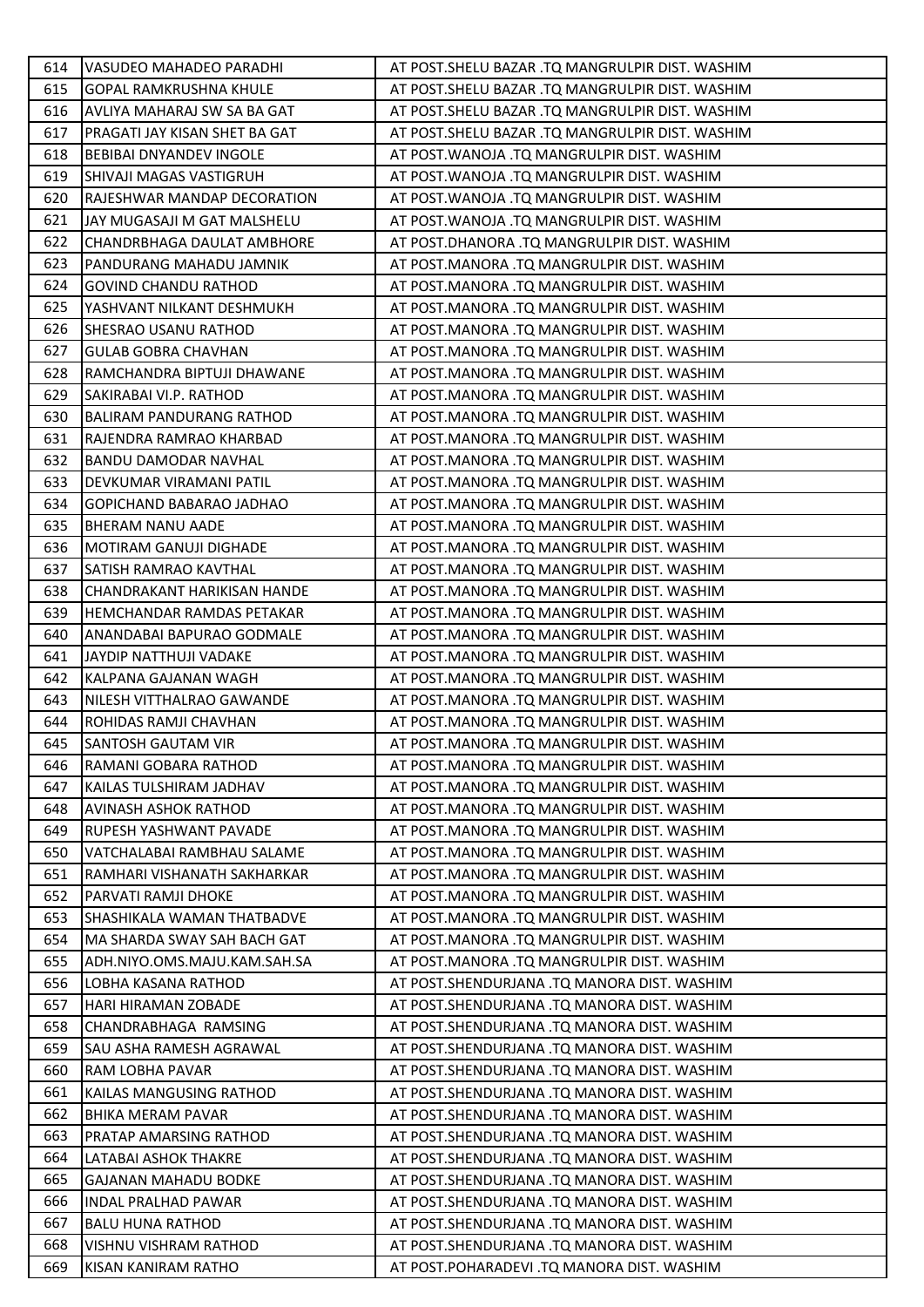| 614 | VASUDEO MAHADEO PARADHI         | AT POST.SHELU BAZAR .TQ MANGRULPIR DIST. WASHIM |
|-----|---------------------------------|-------------------------------------------------|
| 615 | <b>GOPAL RAMKRUSHNA KHULE</b>   | AT POST.SHELU BAZAR .TQ MANGRULPIR DIST. WASHIM |
| 616 | AVLIYA MAHARAJ SW SA BA GAT     | AT POST.SHELU BAZAR .TQ MANGRULPIR DIST. WASHIM |
| 617 | PRAGATI JAY KISAN SHET BA GAT   | AT POST.SHELU BAZAR .TQ MANGRULPIR DIST. WASHIM |
| 618 | BEBIBAI DNYANDEV INGOLE         | AT POST. WANOJA .TQ MANGRULPIR DIST. WASHIM     |
| 619 | SHIVAJI MAGAS VASTIGRUH         | AT POST. WANOJA .TQ MANGRULPIR DIST. WASHIM     |
| 620 | RAJESHWAR MANDAP DECORATION     | AT POST.WANOJA .TQ MANGRULPIR DIST. WASHIM      |
| 621 | JAY MUGASAJI M GAT MALSHELU     | AT POST. WANOJA .TQ MANGRULPIR DIST. WASHIM     |
| 622 | CHANDRBHAGA DAULAT AMBHORE      | AT POST.DHANORA .TQ MANGRULPIR DIST. WASHIM     |
| 623 | PANDURANG MAHADU JAMNIK         | AT POST.MANORA .TQ MANGRULPIR DIST. WASHIM      |
| 624 | <b>GOVIND CHANDU RATHOD</b>     | AT POST.MANORA .TQ MANGRULPIR DIST. WASHIM      |
| 625 | YASHVANT NILKANT DESHMUKH       | AT POST.MANORA .TQ MANGRULPIR DIST. WASHIM      |
| 626 | SHESRAO USANU RATHOD            | AT POST.MANORA .TQ MANGRULPIR DIST. WASHIM      |
| 627 | <b>GULAB GOBRA CHAVHAN</b>      | AT POST.MANORA .TQ MANGRULPIR DIST. WASHIM      |
| 628 | RAMCHANDRA BIPTUJI DHAWANE      | AT POST.MANORA .TQ MANGRULPIR DIST. WASHIM      |
| 629 | SAKIRABAI VI.P. RATHOD          | AT POST.MANORA .TQ MANGRULPIR DIST. WASHIM      |
| 630 | <b>BALIRAM PANDURANG RATHOD</b> | AT POST.MANORA .TQ MANGRULPIR DIST. WASHIM      |
| 631 | RAJENDRA RAMRAO KHARBAD         | AT POST.MANORA .TQ MANGRULPIR DIST. WASHIM      |
| 632 | BANDU DAMODAR NAVHAL            | AT POST.MANORA .TQ MANGRULPIR DIST. WASHIM      |
| 633 | DEVKUMAR VIRAMANI PATIL         | AT POST.MANORA .TQ MANGRULPIR DIST. WASHIM      |
| 634 | GOPICHAND BABARAO JADHAO        | AT POST.MANORA .TQ MANGRULPIR DIST. WASHIM      |
| 635 | BHERAM NANU AADE                | AT POST.MANORA .TQ MANGRULPIR DIST. WASHIM      |
| 636 | MOTIRAM GANUJI DIGHADE          | AT POST.MANORA .TQ MANGRULPIR DIST. WASHIM      |
| 637 | SATISH RAMRAO KAVTHAL           | AT POST.MANORA .TQ MANGRULPIR DIST. WASHIM      |
| 638 | CHANDRAKANT HARIKISAN HANDE     | AT POST.MANORA .TQ MANGRULPIR DIST. WASHIM      |
| 639 | HEMCHANDAR RAMDAS PETAKAR       | AT POST.MANORA .TQ MANGRULPIR DIST. WASHIM      |
| 640 | ANANDABAI BAPURAO GODMALE       | AT POST.MANORA .TQ MANGRULPIR DIST. WASHIM      |
| 641 | JAYDIP NATTHUJI VADAKE          | AT POST.MANORA .TQ MANGRULPIR DIST. WASHIM      |
| 642 | KALPANA GAJANAN WAGH            | AT POST.MANORA .TQ MANGRULPIR DIST. WASHIM      |
| 643 | NILESH VITTHALRAO GAWANDE       | AT POST.MANORA .TQ MANGRULPIR DIST. WASHIM      |
| 644 | ROHIDAS RAMJI CHAVHAN           | AT POST.MANORA .TQ MANGRULPIR DIST. WASHIM      |
| 645 | <b>SANTOSH GAUTAM VIR</b>       | AT POST.MANORA .TQ MANGRULPIR DIST. WASHIM      |
| 646 | RAMANI GOBARA RATHOD            | AT POST.MANORA .TQ MANGRULPIR DIST. WASHIM      |
| 647 | KAILAS TULSHIRAM JADHAV         | AT POST.MANORA .TQ MANGRULPIR DIST. WASHIM      |
| 648 | <b>AVINASH ASHOK RATHOD</b>     | AT POST.MANORA .TQ MANGRULPIR DIST. WASHIM      |
| 649 | RUPESH YASHWANT PAVADE          | AT POST.MANORA .TQ MANGRULPIR DIST. WASHIM      |
| 650 | VATCHALABAI RAMBHAU SALAME      | AT POST.MANORA .TQ MANGRULPIR DIST. WASHIM      |
| 651 | RAMHARI VISHANATH SAKHARKAR     | AT POST.MANORA .TQ MANGRULPIR DIST. WASHIM      |
| 652 | PARVATI RAMJI DHOKE             | AT POST.MANORA .TQ MANGRULPIR DIST. WASHIM      |
| 653 | SHASHIKALA WAMAN THATBADVE      | AT POST.MANORA .TQ MANGRULPIR DIST. WASHIM      |
| 654 | MA SHARDA SWAY SAH BACH GAT     | AT POST.MANORA .TQ MANGRULPIR DIST. WASHIM      |
| 655 | ADH.NIYO.OMS.MAJU.KAM.SAH.SA    | AT POST.MANORA .TQ MANGRULPIR DIST. WASHIM      |
| 656 | LOBHA KASANA RATHOD             | AT POST.SHENDURJANA .TQ MANORA DIST. WASHIM     |
| 657 | <b>HARI HIRAMAN ZOBADE</b>      | AT POST.SHENDURJANA .TQ MANORA DIST. WASHIM     |
| 658 | CHANDRABHAGA RAMSING            | AT POST.SHENDURJANA .TQ MANORA DIST. WASHIM     |
| 659 | SAU ASHA RAMESH AGRAWAL         | AT POST.SHENDURJANA .TQ MANORA DIST. WASHIM     |
| 660 | RAM LOBHA PAVAR                 | AT POST.SHENDURJANA .TQ MANORA DIST. WASHIM     |
| 661 | KAILAS MANGUSING RATHOD         | AT POST.SHENDURJANA .TQ MANORA DIST. WASHIM     |
| 662 | BHIKA MERAM PAVAR               | AT POST.SHENDURJANA .TQ MANORA DIST. WASHIM     |
| 663 | PRATAP AMARSING RATHOD          | AT POST.SHENDURJANA .TQ MANORA DIST. WASHIM     |
| 664 | LATABAI ASHOK THAKRE            | AT POST.SHENDURJANA .TQ MANORA DIST. WASHIM     |
| 665 | <b>GAJANAN MAHADU BODKE</b>     | AT POST.SHENDURJANA .TQ MANORA DIST. WASHIM     |
| 666 | <b>INDAL PRALHAD PAWAR</b>      | AT POST.SHENDURJANA .TQ MANORA DIST. WASHIM     |
| 667 | <b>BALU HUNA RATHOD</b>         | AT POST.SHENDURJANA .TQ MANORA DIST. WASHIM     |
| 668 | VISHNU VISHRAM RATHOD           | AT POST.SHENDURJANA .TQ MANORA DIST. WASHIM     |
| 669 | KISAN KANIRAM RATHO             | AT POST.POHARADEVI .TQ MANORA DIST. WASHIM      |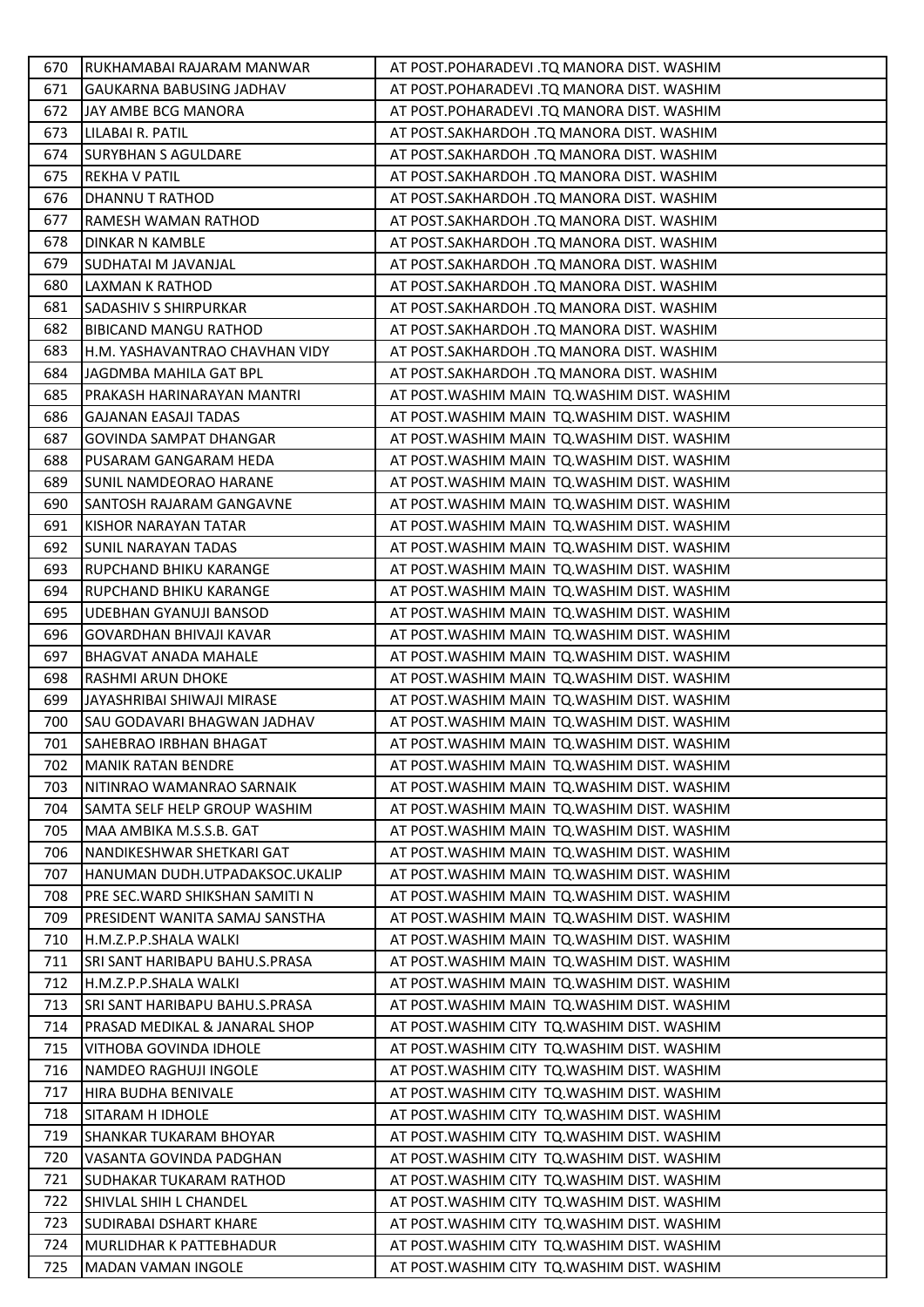| 670.       | RUKHAMABAI RAJARAM MANWAR                            | AT POST.POHARADEVI .TQ MANORA DIST. WASHIM                                                   |
|------------|------------------------------------------------------|----------------------------------------------------------------------------------------------|
| 671        | <b>GAUKARNA BABUSING JADHAV</b>                      | AT POST.POHARADEVI .TQ MANORA DIST. WASHIM                                                   |
| 672        | JAY AMBE BCG MANORA                                  | AT POST.POHARADEVI .TQ MANORA DIST. WASHIM                                                   |
| 673        | LILABAI R. PATIL                                     | AT POST.SAKHARDOH .TQ MANORA DIST. WASHIM                                                    |
| 674        | <b>SURYBHAN S AGULDARE</b>                           | AT POST.SAKHARDOH .TQ MANORA DIST. WASHIM                                                    |
| 675        | <b>REKHA V PATIL</b>                                 | AT POST.SAKHARDOH .TQ MANORA DIST. WASHIM                                                    |
| 676        | DHANNU T RATHOD                                      | AT POST.SAKHARDOH .TQ MANORA DIST. WASHIM                                                    |
| 677        | RAMESH WAMAN RATHOD                                  | AT POST.SAKHARDOH .TQ MANORA DIST. WASHIM                                                    |
| 678        | <b>DINKAR N KAMBLE</b>                               | AT POST.SAKHARDOH .TQ MANORA DIST. WASHIM                                                    |
| 679        | SUDHATAI M JAVANJAL                                  | AT POST.SAKHARDOH .TQ MANORA DIST. WASHIM                                                    |
| 680        | LAXMAN K RATHOD                                      | AT POST.SAKHARDOH .TQ MANORA DIST. WASHIM                                                    |
| 681        | <b>SADASHIV S SHIRPURKAR</b>                         | AT POST.SAKHARDOH .TQ MANORA DIST. WASHIM                                                    |
| 682        | <b>BIBICAND MANGU RATHOD</b>                         | AT POST.SAKHARDOH .TQ MANORA DIST. WASHIM                                                    |
| 683        | H.M. YASHAVANTRAO CHAVHAN VIDY                       | AT POST.SAKHARDOH .TQ MANORA DIST. WASHIM                                                    |
| 684        | JAGDMBA MAHILA GAT BPL                               | AT POST.SAKHARDOH .TQ MANORA DIST. WASHIM                                                    |
| 685        | PRAKASH HARINARAYAN MANTRI                           | AT POST.WASHIM MAIN TQ.WASHIM DIST. WASHIM                                                   |
| 686        | <b>GAJANAN EASAJI TADAS</b>                          | AT POST. WASHIM MAIN TQ. WASHIM DIST. WASHIM                                                 |
| 687        | <b>GOVINDA SAMPAT DHANGAR</b>                        | AT POST. WASHIM MAIN TO. WASHIM DIST. WASHIM                                                 |
| 688        | PUSARAM GANGARAM HEDA                                | AT POST. WASHIM MAIN TQ. WASHIM DIST. WASHIM                                                 |
| 689        | SUNIL NAMDEORAO HARANE                               | AT POST. WASHIM MAIN TQ. WASHIM DIST. WASHIM                                                 |
| 690        | SANTOSH RAJARAM GANGAVNE                             | AT POST. WASHIM MAIN TO. WASHIM DIST. WASHIM                                                 |
| 691        | KISHOR NARAYAN TATAR                                 | AT POST. WASHIM MAIN TQ. WASHIM DIST. WASHIM                                                 |
| 692        | <b>SUNIL NARAYAN TADAS</b>                           | AT POST. WASHIM MAIN TQ. WASHIM DIST. WASHIM                                                 |
| 693        | RUPCHAND BHIKU KARANGE                               | AT POST. WASHIM MAIN TO. WASHIM DIST. WASHIM                                                 |
| 694        | RUPCHAND BHIKU KARANGE                               | AT POST. WASHIM MAIN TQ. WASHIM DIST. WASHIM                                                 |
| 695        | UDEBHAN GYANUJI BANSOD                               | AT POST. WASHIM MAIN TQ. WASHIM DIST. WASHIM                                                 |
| 696        | <b>GOVARDHAN BHIVAJI KAVAR</b>                       | AT POST. WASHIM MAIN TQ. WASHIM DIST. WASHIM                                                 |
| 697        | <b>BHAGVAT ANADA MAHALE</b>                          | AT POST. WASHIM MAIN TQ. WASHIM DIST. WASHIM                                                 |
| 698        | RASHMI ARUN DHOKE                                    | AT POST. WASHIM MAIN TQ. WASHIM DIST. WASHIM                                                 |
| 699        | JAYASHRIBAI SHIWAJI MIRASE                           | AT POST. WASHIM MAIN TQ. WASHIM DIST. WASHIM                                                 |
| 700        | SAU GODAVARI BHAGWAN JADHAV                          | AT POST. WASHIM MAIN TQ. WASHIM DIST. WASHIM                                                 |
| 701        | SAHEBRAO IRBHAN BHAGAT                               | AT POST.WASHIM MAIN TQ.WASHIM DIST. WASHIM                                                   |
| 702        | <b>MANIK RATAN BENDRE</b>                            | AT POST. WASHIM MAIN TQ. WASHIM DIST. WASHIM                                                 |
| 703        | NITINRAO WAMANRAO SARNAIK                            | AT POST. WASHIM MAIN TO. WASHIM DIST. WASHIM                                                 |
| 704        | SAMTA SELF HELP GROUP WASHIM                         | AT POST. WASHIM MAIN TO. WASHIM DIST. WASHIM                                                 |
| 705        | MAA AMBIKA M.S.S.B. GAT                              | AT POST. WASHIM MAIN TQ. WASHIM DIST. WASHIM                                                 |
| 706        | NANDIKESHWAR SHETKARI GAT                            | AT POST. WASHIM MAIN TO. WASHIM DIST. WASHIM                                                 |
| 707        |                                                      |                                                                                              |
|            | HANUMAN DUDH.UTPADAKSOC.UKALIP                       | AT POST. WASHIM MAIN TO. WASHIM DIST. WASHIM                                                 |
| 708        | PRE SEC. WARD SHIKSHAN SAMITI N                      | AT POST.WASHIM MAIN TQ.WASHIM DIST. WASHIM                                                   |
| 709        | PRESIDENT WANITA SAMAJ SANSTHA                       | AT POST. WASHIM MAIN TQ. WASHIM DIST. WASHIM                                                 |
| 710        | H.M.Z.P.P.SHALA WALKI                                | AT POST. WASHIM MAIN TQ. WASHIM DIST. WASHIM                                                 |
| 711        | SRI SANT HARIBAPU BAHU.S.PRASA                       | AT POST. WASHIM MAIN TQ. WASHIM DIST. WASHIM                                                 |
| 712        | H.M.Z.P.P.SHALA WALKI                                | AT POST. WASHIM MAIN TQ. WASHIM DIST. WASHIM                                                 |
| 713        | SRI SANT HARIBAPU BAHU.S.PRASA                       | AT POST. WASHIM MAIN TO. WASHIM DIST. WASHIM                                                 |
| 714        | PRASAD MEDIKAL & JANARAL SHOP                        | AT POST.WASHIM CITY TQ.WASHIM DIST. WASHIM                                                   |
| 715        | VITHOBA GOVINDA IDHOLE                               | AT POST. WASHIM CITY TO. WASHIM DIST. WASHIM                                                 |
| 716        | NAMDEO RAGHUJI INGOLE                                | AT POST. WASHIM CITY TO. WASHIM DIST. WASHIM                                                 |
| 717        | HIRA BUDHA BENIVALE                                  | AT POST. WASHIM CITY TO. WASHIM DIST. WASHIM                                                 |
| 718        | <b>SITARAM H IDHOLE</b>                              | AT POST. WASHIM CITY TO. WASHIM DIST. WASHIM                                                 |
| 719        | SHANKAR TUKARAM BHOYAR                               | AT POST. WASHIM CITY TO. WASHIM DIST. WASHIM                                                 |
| 720        | VASANTA GOVINDA PADGHAN                              | AT POST. WASHIM CITY TO. WASHIM DIST. WASHIM                                                 |
| 721        | SUDHAKAR TUKARAM RATHOD                              | AT POST. WASHIM CITY TQ. WASHIM DIST. WASHIM                                                 |
| 722        | SHIVLAL SHIH L CHANDEL                               | AT POST. WASHIM CITY TO. WASHIM DIST. WASHIM                                                 |
| 723        | SUDIRABAI DSHART KHARE                               | AT POST. WASHIM CITY TO. WASHIM DIST. WASHIM                                                 |
| 724<br>725 | MURLIDHAR K PATTEBHADUR<br><b>MADAN VAMAN INGOLE</b> | AT POST. WASHIM CITY TQ. WASHIM DIST. WASHIM<br>AT POST. WASHIM CITY TO. WASHIM DIST. WASHIM |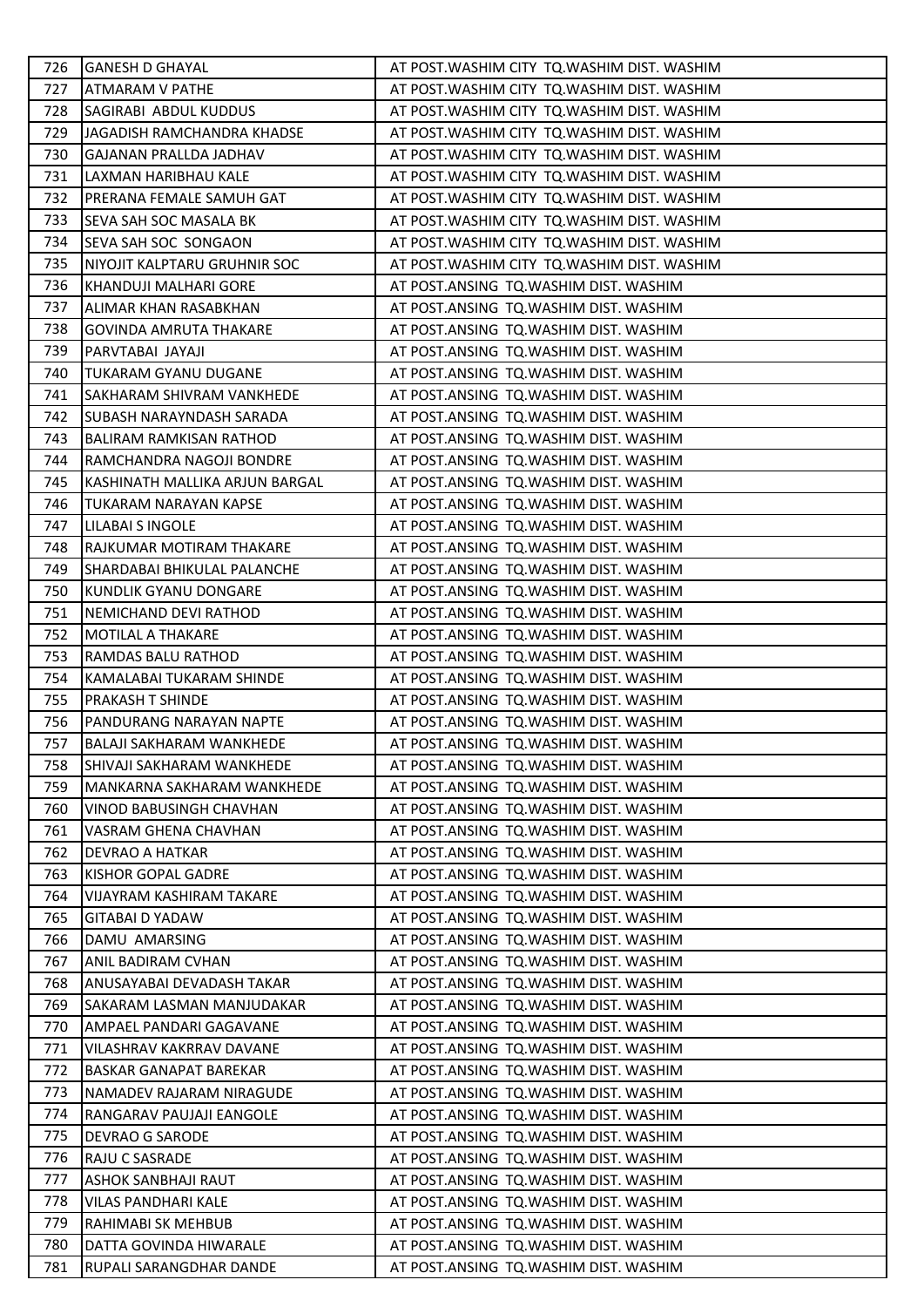| 726 | <b>GANESH D GHAYAL</b>          | AT POST. WASHIM CITY TQ. WASHIM DIST. WASHIM |
|-----|---------------------------------|----------------------------------------------|
| 727 | <b>ATMARAM V PATHE</b>          | AT POST. WASHIM CITY TO. WASHIM DIST. WASHIM |
| 728 | SAGIRABI ABDUL KUDDUS           | AT POST. WASHIM CITY TQ. WASHIM DIST. WASHIM |
| 729 | JAGADISH RAMCHANDRA KHADSE      | AT POST. WASHIM CITY TO. WASHIM DIST. WASHIM |
| 730 | <b>GAJANAN PRALLDA JADHAV</b>   | AT POST. WASHIM CITY TO. WASHIM DIST. WASHIM |
| 731 | LAXMAN HARIBHAU KALE            | AT POST. WASHIM CITY TQ. WASHIM DIST. WASHIM |
| 732 | PRERANA FEMALE SAMUH GAT        | AT POST. WASHIM CITY TO. WASHIM DIST. WASHIM |
| 733 | SEVA SAH SOC MASALA BK          | AT POST. WASHIM CITY TQ. WASHIM DIST. WASHIM |
| 734 | SEVA SAH SOC SONGAON            | AT POST. WASHIM CITY TQ. WASHIM DIST. WASHIM |
| 735 | NIYOJIT KALPTARU GRUHNIR SOC    | AT POST. WASHIM CITY TO. WASHIM DIST. WASHIM |
| 736 | KHANDUJI MALHARI GORE           | AT POST.ANSING TQ.WASHIM DIST. WASHIM        |
| 737 | ALIMAR KHAN RASABKHAN           | AT POST.ANSING TQ.WASHIM DIST. WASHIM        |
| 738 | <b>GOVINDA AMRUTA THAKARE</b>   | AT POST.ANSING TQ.WASHIM DIST. WASHIM        |
| 739 | PARVTABAI JAYAJI                | AT POST.ANSING TQ.WASHIM DIST. WASHIM        |
| 740 | TUKARAM GYANU DUGANE            | AT POST.ANSING TQ.WASHIM DIST. WASHIM        |
| 741 | SAKHARAM SHIVRAM VANKHEDE       | AT POST.ANSING TQ.WASHIM DIST. WASHIM        |
| 742 | ISUBASH NARAYNDASH SARADA       | AT POST.ANSING TQ.WASHIM DIST. WASHIM        |
| 743 | BALIRAM RAMKISAN RATHOD         | AT POST.ANSING TQ.WASHIM DIST. WASHIM        |
| 744 | RAMCHANDRA NAGOJI BONDRE        | AT POST.ANSING TQ.WASHIM DIST. WASHIM        |
| 745 | KASHINATH MALLIKA ARJUN BARGAL  | AT POST.ANSING TQ.WASHIM DIST. WASHIM        |
| 746 | TUKARAM NARAYAN KAPSE           | AT POST.ANSING TQ.WASHIM DIST. WASHIM        |
| 747 | LILABAI S INGOLE                | AT POST.ANSING TQ.WASHIM DIST. WASHIM        |
| 748 | RAJKUMAR MOTIRAM THAKARE        | AT POST.ANSING TQ.WASHIM DIST. WASHIM        |
| 749 | SHARDABAI BHIKULAL PALANCHE     | AT POST.ANSING TQ.WASHIM DIST. WASHIM        |
| 750 | KUNDLIK GYANU DONGARE           | AT POST.ANSING TQ.WASHIM DIST. WASHIM        |
| 751 | NEMICHAND DEVI RATHOD           | AT POST.ANSING TQ.WASHIM DIST. WASHIM        |
| 752 | MOTILAL A THAKARE               | AT POST.ANSING TQ.WASHIM DIST. WASHIM        |
| 753 | RAMDAS BALU RATHOD              | AT POST.ANSING TQ.WASHIM DIST. WASHIM        |
| 754 | KAMALABAI TUKARAM SHINDE        | AT POST.ANSING TQ.WASHIM DIST. WASHIM        |
| 755 | <b>PRAKASH T SHINDE</b>         | AT POST.ANSING TQ.WASHIM DIST. WASHIM        |
| 756 | PANDURANG NARAYAN NAPTE         | AT POST.ANSING TQ.WASHIM DIST. WASHIM        |
| 757 | <b>BALAJI SAKHARAM WANKHEDE</b> | AT POST.ANSING TQ.WASHIM DIST. WASHIM        |
| 758 | SHIVAJI SAKHARAM WANKHEDE       | AT POST.ANSING TQ.WASHIM DIST. WASHIM        |
| 759 | MANKARNA SAKHARAM WANKHEDE      | AT POST.ANSING TQ.WASHIM DIST. WASHIM        |
| 760 | VINOD BABUSINGH CHAVHAN         | AT POST.ANSING TQ.WASHIM DIST. WASHIM        |
| 761 | VASRAM GHENA CHAVHAN            | AT POST.ANSING TQ.WASHIM DIST. WASHIM        |
| 762 | DEVRAO A HATKAR                 | AT POST.ANSING TQ.WASHIM DIST. WASHIM        |
| 763 | KISHOR GOPAL GADRE              | AT POST.ANSING TQ.WASHIM DIST. WASHIM        |
| 764 | VIJAYRAM KASHIRAM TAKARE        | AT POST.ANSING TQ.WASHIM DIST. WASHIM        |
| 765 | <b>GITABAI D YADAW</b>          | AT POST.ANSING TQ.WASHIM DIST. WASHIM        |
| 766 | DAMU AMARSING                   | AT POST.ANSING TQ.WASHIM DIST. WASHIM        |
| 767 | ANIL BADIRAM CVHAN              | AT POST.ANSING TQ.WASHIM DIST. WASHIM        |
| 768 | ANUSAYABAI DEVADASH TAKAR       | AT POST.ANSING TQ.WASHIM DIST. WASHIM        |
| 769 | SAKARAM LASMAN MANJUDAKAR       | AT POST.ANSING TQ.WASHIM DIST. WASHIM        |
| 770 | AMPAEL PANDARI GAGAVANE         | AT POST.ANSING TQ.WASHIM DIST. WASHIM        |
| 771 | VILASHRAV KAKRRAV DAVANE        | AT POST.ANSING TQ.WASHIM DIST. WASHIM        |
| 772 | <b>BASKAR GANAPAT BAREKAR</b>   | AT POST.ANSING TQ.WASHIM DIST. WASHIM        |
| 773 | NAMADEV RAJARAM NIRAGUDE        | AT POST.ANSING TQ.WASHIM DIST. WASHIM        |
| 774 | RANGARAV PAUJAJI EANGOLE        | AT POST.ANSING TQ.WASHIM DIST. WASHIM        |
| 775 | DEVRAO G SARODE                 | AT POST.ANSING TQ.WASHIM DIST. WASHIM        |
| 776 | RAJU C SASRADE                  | AT POST.ANSING TQ.WASHIM DIST. WASHIM        |
| 777 | <b>ASHOK SANBHAJI RAUT</b>      | AT POST.ANSING TQ.WASHIM DIST. WASHIM        |
| 778 | VILAS PANDHARI KALE             | AT POST.ANSING TQ.WASHIM DIST. WASHIM        |
| 779 | RAHIMABI SK MEHBUB              | AT POST.ANSING TQ.WASHIM DIST. WASHIM        |
| 780 | DATTA GOVINDA HIWARALE          | AT POST.ANSING TQ.WASHIM DIST. WASHIM        |
| 781 | RUPALI SARANGDHAR DANDE         | AT POST.ANSING TQ.WASHIM DIST. WASHIM        |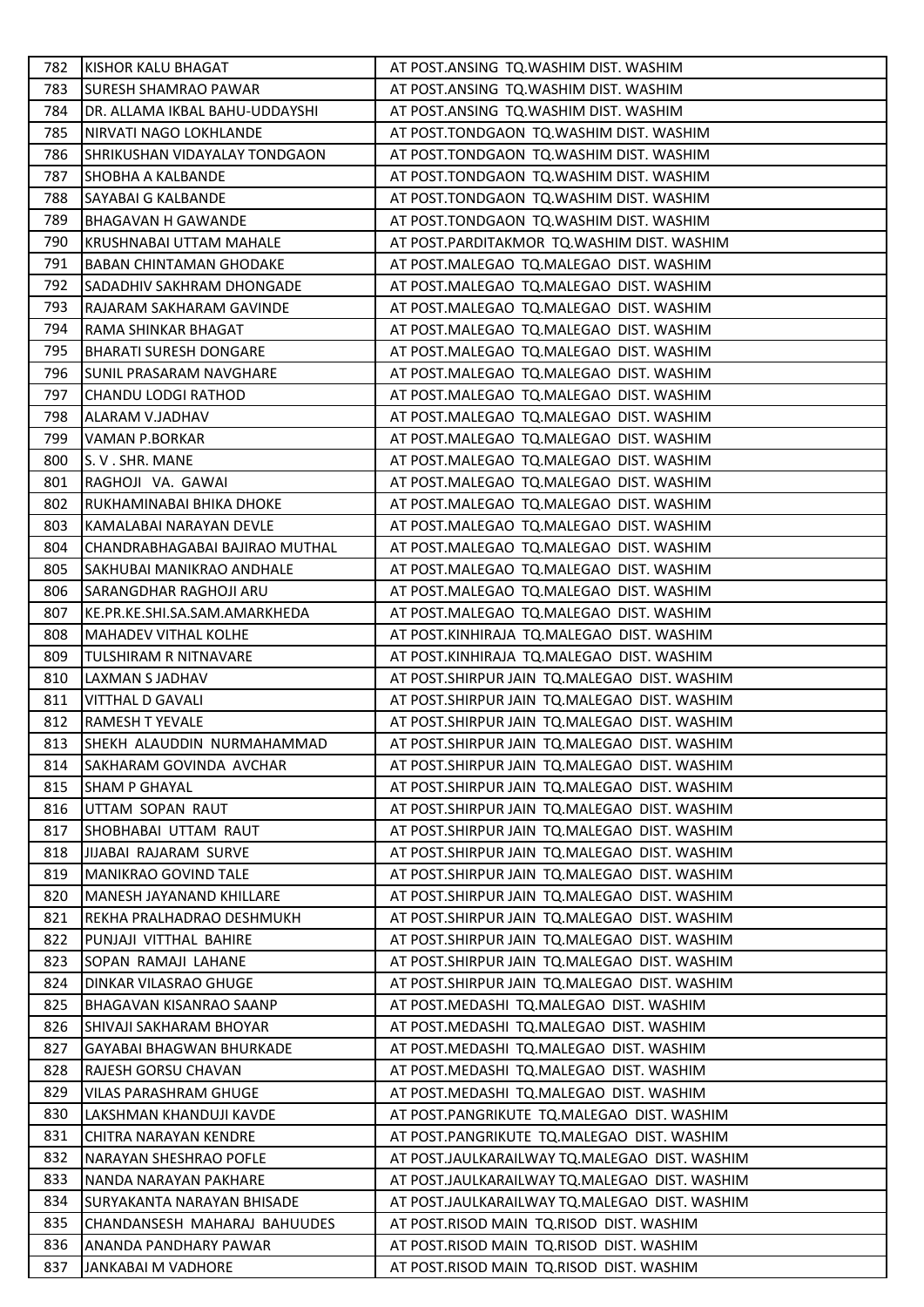| 782 | KISHOR KALU BHAGAT              | AT POST.ANSING TQ.WASHIM DIST. WASHIM          |
|-----|---------------------------------|------------------------------------------------|
| 783 | <b>SURESH SHAMRAO PAWAR</b>     | AT POST.ANSING TQ.WASHIM DIST. WASHIM          |
| 784 | DR. ALLAMA IKBAL BAHU-UDDAYSHI  | AT POST.ANSING TQ.WASHIM DIST. WASHIM          |
| 785 | NIRVATI NAGO LOKHLANDE          | AT POST.TONDGAON TQ.WASHIM DIST. WASHIM        |
| 786 | SHRIKUSHAN VIDAYALAY TONDGAON   | AT POST.TONDGAON TQ.WASHIM DIST. WASHIM        |
| 787 | SHOBHA A KALBANDE               | AT POST.TONDGAON TQ.WASHIM DIST. WASHIM        |
| 788 | SAYABAI G KALBANDE              | AT POST.TONDGAON TQ.WASHIM DIST. WASHIM        |
| 789 | <b>BHAGAVAN H GAWANDE</b>       | AT POST.TONDGAON TQ.WASHIM DIST. WASHIM        |
| 790 | <b>KRUSHNABAI UTTAM MAHALE</b>  | AT POST.PARDITAKMOR TQ.WASHIM DIST. WASHIM     |
| 791 | <b>BABAN CHINTAMAN GHODAKE</b>  | AT POST.MALEGAO TQ.MALEGAO DIST. WASHIM        |
| 792 | SADADHIV SAKHRAM DHONGADE       | AT POST.MALEGAO TQ.MALEGAO DIST. WASHIM        |
| 793 | RAJARAM SAKHARAM GAVINDE        | AT POST.MALEGAO TQ.MALEGAO DIST. WASHIM        |
| 794 | RAMA SHINKAR BHAGAT             | AT POST.MALEGAO TQ.MALEGAO DIST. WASHIM        |
| 795 | <b>BHARATI SURESH DONGARE</b>   | AT POST.MALEGAO TQ.MALEGAO DIST. WASHIM        |
| 796 | <b>SUNIL PRASARAM NAVGHARE</b>  | AT POST.MALEGAO TQ.MALEGAO DIST. WASHIM        |
| 797 | <b>CHANDU LODGI RATHOD</b>      | AT POST.MALEGAO TQ.MALEGAO DIST. WASHIM        |
| 798 | <b>ALARAM V.JADHAV</b>          | AT POST.MALEGAO TQ.MALEGAO DIST. WASHIM        |
| 799 | VAMAN P.BORKAR                  | AT POST.MALEGAO TQ.MALEGAO DIST. WASHIM        |
| 800 | S. V. SHR. MANE                 | AT POST.MALEGAO TQ.MALEGAO DIST. WASHIM        |
| 801 | RAGHOJI VA. GAWAI               | AT POST.MALEGAO TQ.MALEGAO DIST. WASHIM        |
| 802 | RUKHAMINABAI BHIKA DHOKE        | AT POST.MALEGAO TQ.MALEGAO DIST. WASHIM        |
| 803 | KAMALABAI NARAYAN DEVLE         | AT POST.MALEGAO TQ.MALEGAO DIST. WASHIM        |
| 804 | CHANDRABHAGABAI BAJIRAO MUTHAL  | AT POST.MALEGAO TQ.MALEGAO DIST. WASHIM        |
| 805 | SAKHUBAI MANIKRAO ANDHALE       | AT POST.MALEGAO TQ.MALEGAO DIST. WASHIM        |
| 806 | SARANGDHAR RAGHOJI ARU          | AT POST.MALEGAO TQ.MALEGAO DIST. WASHIM        |
| 807 | KE.PR.KE.SHI.SA.SAM.AMARKHEDA   | AT POST.MALEGAO TQ.MALEGAO DIST. WASHIM        |
| 808 | <b>MAHADEV VITHAL KOLHE</b>     | AT POST.KINHIRAJA TQ.MALEGAO DIST. WASHIM      |
| 809 | TULSHIRAM R NITNAVARE           | AT POST.KINHIRAJA TQ.MALEGAO DIST. WASHIM      |
| 810 | LAXMAN S JADHAV                 | AT POST.SHIRPUR JAIN TQ.MALEGAO DIST. WASHIM   |
| 811 | VITTHAL D GAVALI                | AT POST.SHIRPUR JAIN TQ.MALEGAO DIST. WASHIM   |
| 812 | RAMESH T YEVALE                 | AT POST.SHIRPUR JAIN TQ.MALEGAO DIST. WASHIM   |
| 813 | ISHEKH ALAUDDIN NURMAHAMMAD     | AT POST.SHIRPUR JAIN TQ.MALEGAO DIST. WASHIM   |
| 814 | SAKHARAM GOVINDA AVCHAR         | AT POST.SHIRPUR JAIN TQ.MALEGAO DIST. WASHIM   |
| 815 | <b>SHAM P GHAYAL</b>            | AT POST.SHIRPUR JAIN TQ.MALEGAO DIST. WASHIM   |
| 816 | UTTAM SOPAN RAUT                | AT POST.SHIRPUR JAIN TQ.MALEGAO DIST. WASHIM   |
| 817 | SHOBHABAI UTTAM RAUT            | AT POST.SHIRPUR JAIN TQ.MALEGAO DIST. WASHIM   |
| 818 | JIJABAI RAJARAM SURVE           | AT POST.SHIRPUR JAIN TQ.MALEGAO DIST. WASHIM   |
| 819 | <b>MANIKRAO GOVIND TALE</b>     | AT POST. SHIRPUR JAIN TQ. MALEGAO DIST. WASHIM |
| 820 | <b>MANESH JAYANAND KHILLARE</b> | AT POST. SHIRPUR JAIN TQ. MALEGAO DIST. WASHIM |
| 821 | REKHA PRALHADRAO DESHMUKH       | AT POST.SHIRPUR JAIN TQ.MALEGAO DIST. WASHIM   |
| 822 | PUNJAJI VITTHAL BAHIRE          | AT POST.SHIRPUR JAIN TQ.MALEGAO DIST. WASHIM   |
| 823 | SOPAN RAMAJI LAHANE             | AT POST.SHIRPUR JAIN TQ.MALEGAO DIST. WASHIM   |
| 824 | DINKAR VILASRAO GHUGE           | AT POST.SHIRPUR JAIN TQ.MALEGAO DIST. WASHIM   |
| 825 | <b>BHAGAVAN KISANRAO SAANP</b>  | AT POST.MEDASHI TQ.MALEGAO DIST. WASHIM        |
| 826 | SHIVAJI SAKHARAM BHOYAR         | AT POST.MEDASHI TQ.MALEGAO DIST. WASHIM        |
| 827 | <b>GAYABAI BHAGWAN BHURKADE</b> | AT POST.MEDASHI TQ.MALEGAO DIST. WASHIM        |
| 828 | RAJESH GORSU CHAVAN             | AT POST.MEDASHI TQ.MALEGAO DIST. WASHIM        |
| 829 | VILAS PARASHRAM GHUGE           | AT POST.MEDASHI TQ.MALEGAO DIST. WASHIM        |
| 830 | LAKSHMAN KHANDUJI KAVDE         | AT POST.PANGRIKUTE TQ.MALEGAO DIST. WASHIM     |
| 831 | CHITRA NARAYAN KENDRE           | AT POST.PANGRIKUTE TQ.MALEGAO DIST. WASHIM     |
| 832 | NARAYAN SHESHRAO POFLE          | AT POST.JAULKARAILWAY TQ.MALEGAO DIST. WASHIM  |
| 833 | NANDA NARAYAN PAKHARE           | AT POST.JAULKARAILWAY TQ.MALEGAO DIST. WASHIM  |
| 834 | SURYAKANTA NARAYAN BHISADE      | AT POST.JAULKARAILWAY TQ.MALEGAO DIST. WASHIM  |
| 835 | CHANDANSESH MAHARAJ BAHUUDES    | AT POST.RISOD MAIN TQ.RISOD DIST. WASHIM       |
| 836 | ANANDA PANDHARY PAWAR           | AT POST.RISOD MAIN TQ.RISOD DIST. WASHIM       |
| 837 | JANKABAI M VADHORE              | AT POST.RISOD MAIN TQ.RISOD DIST. WASHIM       |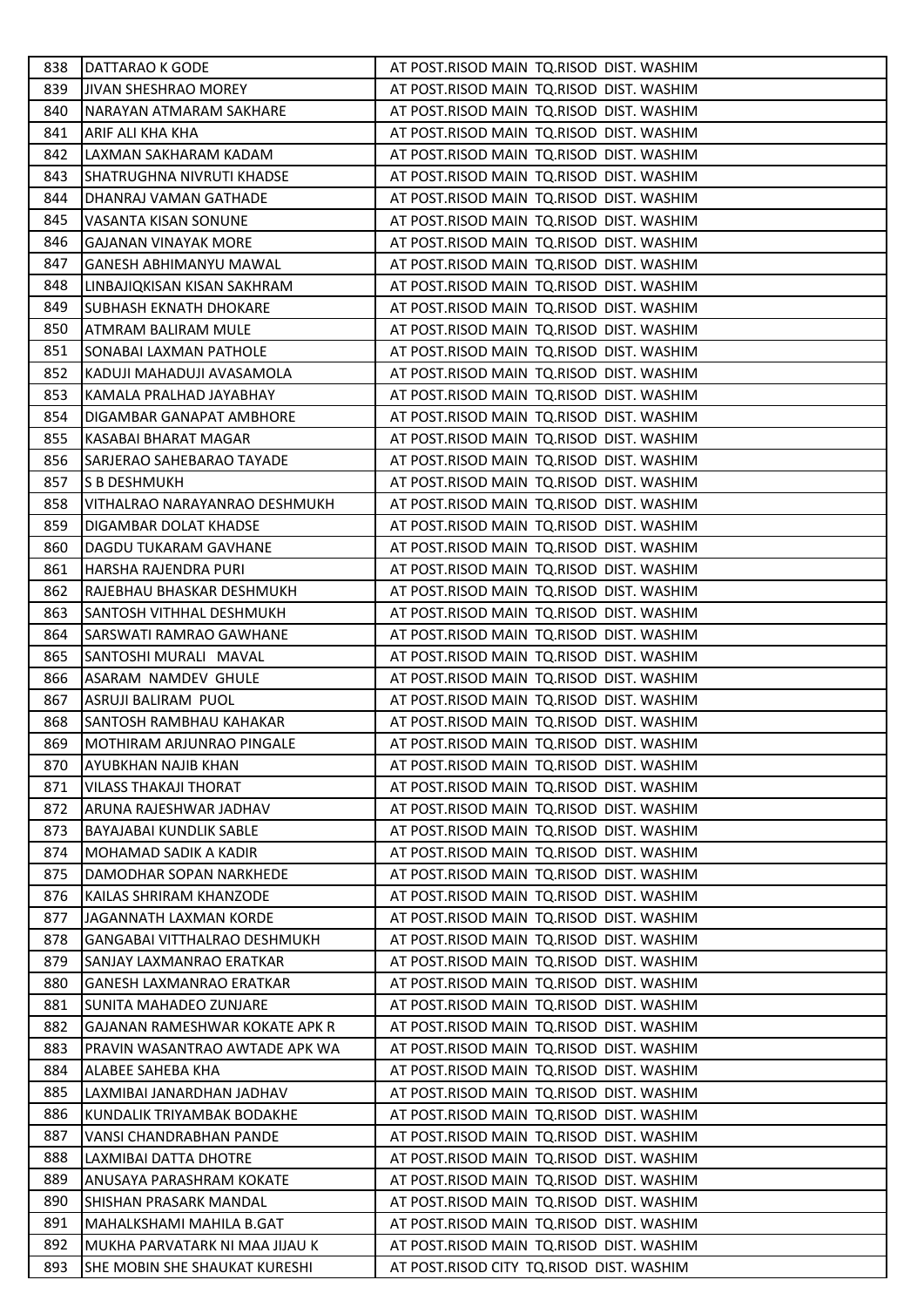| 838 | DATTARAO K GODE                 | AT POST.RISOD MAIN TQ.RISOD DIST. WASHIM |
|-----|---------------------------------|------------------------------------------|
| 839 | <b>JIVAN SHESHRAO MOREY</b>     | AT POST.RISOD MAIN TQ.RISOD DIST. WASHIM |
| 840 | NARAYAN ATMARAM SAKHARE         | AT POST.RISOD MAIN TQ.RISOD DIST. WASHIM |
| 841 | ARIF ALI KHA KHA                | AT POST.RISOD MAIN TQ.RISOD DIST. WASHIM |
| 842 | LAXMAN SAKHARAM KADAM           | AT POST.RISOD MAIN TQ.RISOD DIST. WASHIM |
| 843 | SHATRUGHNA NIVRUTI KHADSE       | AT POST.RISOD MAIN TQ.RISOD DIST. WASHIM |
| 844 | DHANRAJ VAMAN GATHADE           | AT POST.RISOD MAIN TQ.RISOD DIST. WASHIM |
| 845 | VASANTA KISAN SONUNE            | AT POST.RISOD MAIN TQ.RISOD DIST. WASHIM |
| 846 | GAJANAN VINAYAK MORE            | AT POST.RISOD MAIN TQ.RISOD DIST. WASHIM |
| 847 | <b>GANESH ABHIMANYU MAWAL</b>   | AT POST.RISOD MAIN TQ.RISOD DIST. WASHIM |
| 848 | LINBAJIQKISAN KISAN SAKHRAM     | AT POST.RISOD MAIN TQ.RISOD DIST. WASHIM |
| 849 | SUBHASH EKNATH DHOKARE          | AT POST.RISOD MAIN TQ.RISOD DIST. WASHIM |
| 850 | ATMRAM BALIRAM MULE             | AT POST.RISOD MAIN TQ.RISOD DIST. WASHIM |
| 851 | SONABAI LAXMAN PATHOLE          | AT POST.RISOD MAIN TQ.RISOD DIST. WASHIM |
| 852 | KADUJI MAHADUJI AVASAMOLA       | AT POST.RISOD MAIN TQ.RISOD DIST. WASHIM |
| 853 | KAMALA PRALHAD JAYABHAY         | AT POST.RISOD MAIN TQ.RISOD DIST. WASHIM |
| 854 | DIGAMBAR GANAPAT AMBHORE        | AT POST.RISOD MAIN TQ.RISOD DIST. WASHIM |
| 855 | KASABAI BHARAT MAGAR            | AT POST.RISOD MAIN TQ.RISOD DIST. WASHIM |
| 856 | SARJERAO SAHEBARAO TAYADE       | AT POST.RISOD MAIN TQ.RISOD DIST. WASHIM |
| 857 | S B DESHMUKH                    | AT POST.RISOD MAIN TQ.RISOD DIST. WASHIM |
| 858 | VITHALRAO NARAYANRAO DESHMUKH   | AT POST.RISOD MAIN TQ.RISOD DIST. WASHIM |
| 859 | DIGAMBAR DOLAT KHADSE           | AT POST.RISOD MAIN TQ.RISOD DIST. WASHIM |
| 860 | DAGDU TUKARAM GAVHANE           | AT POST.RISOD MAIN TQ.RISOD DIST. WASHIM |
| 861 | HARSHA RAJENDRA PURI            | AT POST.RISOD MAIN TQ.RISOD DIST. WASHIM |
| 862 | RAJEBHAU BHASKAR DESHMUKH       | AT POST.RISOD MAIN TQ.RISOD DIST. WASHIM |
| 863 | SANTOSH VITHHAL DESHMUKH        | AT POST.RISOD MAIN TQ.RISOD DIST. WASHIM |
| 864 | SARSWATI RAMRAO GAWHANE         | AT POST.RISOD MAIN TQ.RISOD DIST. WASHIM |
| 865 | SANTOSHI MURALI MAVAL           | AT POST.RISOD MAIN TQ.RISOD DIST. WASHIM |
| 866 | ASARAM NAMDEV GHULE             | AT POST.RISOD MAIN TQ.RISOD DIST. WASHIM |
| 867 | ASRUJI BALIRAM PUOL             | AT POST.RISOD MAIN TQ.RISOD DIST. WASHIM |
| 868 | SANTOSH RAMBHAU KAHAKAR         | AT POST.RISOD MAIN TQ.RISOD DIST. WASHIM |
| 869 | MOTHIRAM ARJUNRAO PINGALE       | AT POST.RISOD MAIN TQ.RISOD DIST. WASHIM |
| 870 | AYUBKHAN NAJIB KHAN             | AT POST.RISOD MAIN TQ.RISOD DIST. WASHIM |
| 871 | <b>VILASS THAKAJI THORAT</b>    | AT POST.RISOD MAIN TQ.RISOD DIST. WASHIM |
| 872 | ARUNA RAJESHWAR JADHAV          | AT POST.RISOD MAIN TQ.RISOD DIST. WASHIM |
| 873 | BAYAJABAI KUNDLIK SABLE         | AT POST.RISOD MAIN TQ.RISOD DIST. WASHIM |
| 874 | MOHAMAD SADIK A KADIR           | AT POST.RISOD MAIN TQ.RISOD DIST. WASHIM |
| 875 | DAMODHAR SOPAN NARKHEDE         | AT POST.RISOD MAIN TQ.RISOD DIST. WASHIM |
| 876 | KAILAS SHRIRAM KHANZODE         | AT POST.RISOD MAIN TQ.RISOD DIST. WASHIM |
| 877 | JAGANNATH LAXMAN KORDE          | AT POST.RISOD MAIN TQ.RISOD DIST. WASHIM |
| 878 | GANGABAI VITTHALRAO DESHMUKH    | AT POST.RISOD MAIN TQ.RISOD DIST. WASHIM |
| 879 | SANJAY LAXMANRAO ERATKAR        | AT POST.RISOD MAIN TQ.RISOD DIST. WASHIM |
| 880 | <b>GANESH LAXMANRAO ERATKAR</b> | AT POST.RISOD MAIN TQ.RISOD DIST. WASHIM |
| 881 | SUNITA MAHADEO ZUNJARE          | AT POST.RISOD MAIN TQ.RISOD DIST. WASHIM |
| 882 | GAJANAN RAMESHWAR KOKATE APK R  | AT POST.RISOD MAIN TQ.RISOD DIST. WASHIM |
| 883 | PRAVIN WASANTRAO AWTADE APK WA  | AT POST.RISOD MAIN TQ.RISOD DIST. WASHIM |
| 884 | ALABEE SAHEBA KHA               | AT POST.RISOD MAIN TQ.RISOD DIST. WASHIM |
| 885 | LAXMIBAI JANARDHAN JADHAV       | AT POST.RISOD MAIN TQ.RISOD DIST. WASHIM |
| 886 | KUNDALIK TRIYAMBAK BODAKHE      | AT POST.RISOD MAIN TQ.RISOD DIST. WASHIM |
| 887 | VANSI CHANDRABHAN PANDE         | AT POST.RISOD MAIN TQ.RISOD DIST. WASHIM |
| 888 | LAXMIBAI DATTA DHOTRE           | AT POST.RISOD MAIN TQ.RISOD DIST. WASHIM |
| 889 | ANUSAYA PARASHRAM KOKATE        | AT POST.RISOD MAIN TQ.RISOD DIST. WASHIM |
| 890 | SHISHAN PRASARK MANDAL          | AT POST.RISOD MAIN TQ.RISOD DIST. WASHIM |
| 891 | MAHALKSHAMI MAHILA B.GAT        | AT POST.RISOD MAIN TQ.RISOD DIST. WASHIM |
| 892 | MUKHA PARVATARK NI MAA JIJAU K  | AT POST.RISOD MAIN TQ.RISOD DIST. WASHIM |
| 893 | SHE MOBIN SHE SHAUKAT KURESHI   | AT POST.RISOD CITY TQ.RISOD DIST. WASHIM |